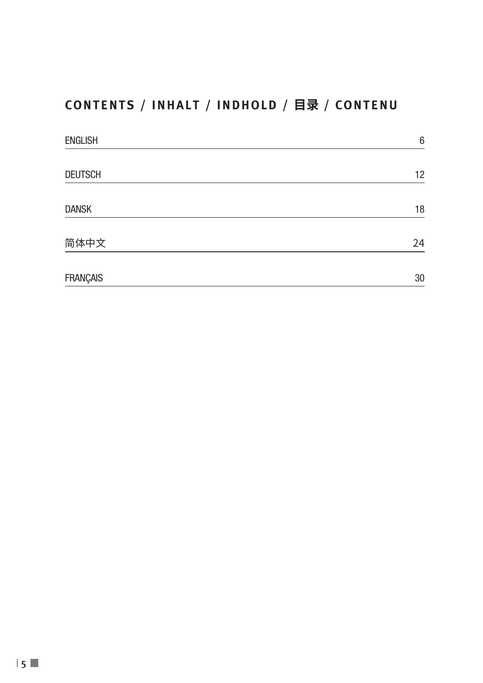# **CONTENTS / INHALT / INDHOLD / 目录 / CONTENU**

| <b>ENGLISH</b>  | 6  |
|-----------------|----|
|                 |    |
| <b>DEUTSCH</b>  | 12 |
| <b>DANSK</b>    | 18 |
| 简体中文            | 24 |
| <b>FRANÇAIS</b> | 30 |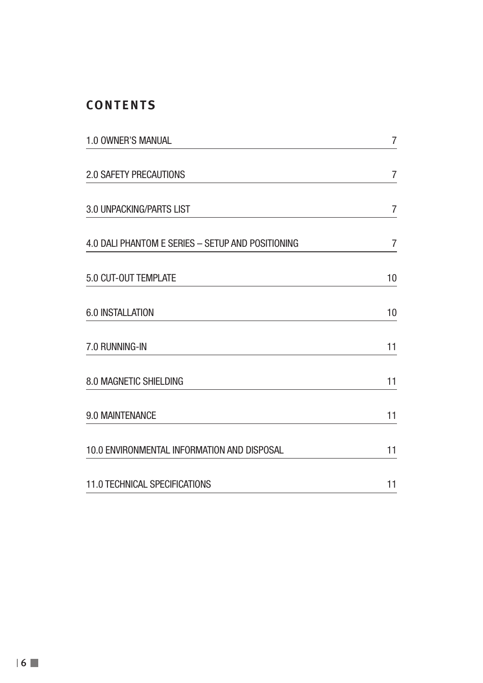## **CONTENTS**

| 1.0 OWNER'S MANUAL                                | 7              |  |
|---------------------------------------------------|----------------|--|
| <b>2.0 SAFETY PRECAUTIONS</b>                     | 7              |  |
| 3.0 UNPACKING/PARTS LIST                          | $\overline{7}$ |  |
| 4.0 DALI PHANTOM E SERIES - SETUP AND POSITIONING | 7              |  |
| 5.0 CUT-OUT TEMPLATE                              | 10             |  |
| 6.0 INSTALLATION                                  | 10             |  |
| 7.0 RUNNING-IN                                    | 11             |  |
| 8.0 MAGNETIC SHIELDING                            | 11             |  |
| 9.0 MAINTENANCE                                   | 11             |  |
| 10.0 ENVIRONMENTAL INFORMATION AND DISPOSAL       | 11             |  |
| 11.0 TECHNICAL SPECIFICATIONS                     | 11             |  |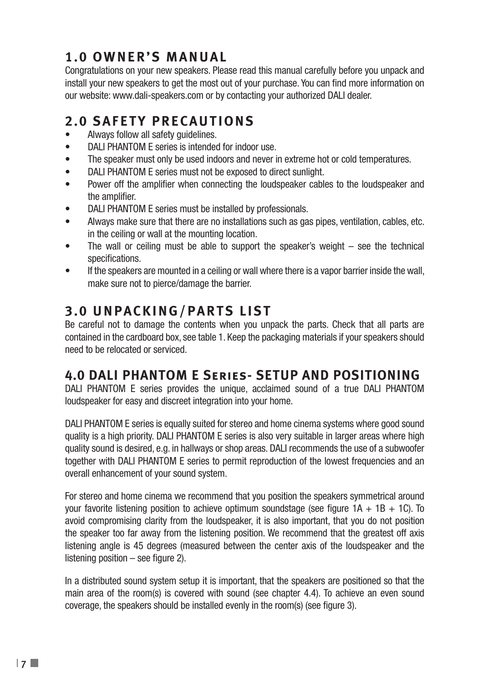# **1.0 OWNER'S MANUAL**

Congratulations on your new speakers. Please read this manual carefully before you unpack and install your new speakers to get the most out of your purchase. You can find more information on our website: www.dali-speakers.com or by contacting your authorized DALI dealer.

# **2.0 SAFETY PRECAUTIONS**

- Always follow all safety quidelines.
- DALI PHANTOM E series is intended for indoor use.
- The speaker must only be used indoors and never in extreme hot or cold temperatures.
- DALI PHANTOM E series must not be exposed to direct sunlight.
- Power off the amplifier when connecting the loudspeaker cables to the loudspeaker and the amplifier.
- DALI PHANTOM E series must be installed by professionals.
- Always make sure that there are no installations such as gas pipes, ventilation, cables, etc. in the ceiling or wall at the mounting location.
- The wall or ceiling must be able to support the speaker's weight see the technical specifications.
- If the speakers are mounted in a ceiling or wall where there is a vapor barrier inside the wall, make sure not to pierce/damage the barrier.

# **3.0 UNPACKING/PARTS LIST**

Be careful not to damage the contents when you unpack the parts. Check that all parts are contained in the cardboard box, see table 1. Keep the packaging materials if your speakers should need to be relocated or serviced.

## **4.0 DALI PHANTOM E Series- SETUP AND POSITIONING**

DALI PHANTOM E series provides the unique, acclaimed sound of a true DALI PHANTOM loudspeaker for easy and discreet integration into your home.

DALI PHANTOM E series is equally suited for stereo and home cinema systems where good sound quality is a high priority. DALI PHANTOM E series is also very suitable in larger areas where high quality sound is desired, e.g. in hallways or shop areas. DALI recommends the use of a subwoofer together with DALI PHANTOM E series to permit reproduction of the lowest frequencies and an overall enhancement of your sound system.

For stereo and home cinema we recommend that you position the speakers symmetrical around your favorite listening position to achieve optimum soundstage (see figure  $1A + 1B + 1C$ ). To avoid compromising clarity from the loudspeaker, it is also important, that you do not position the speaker too far away from the listening position. We recommend that the greatest off axis listening angle is 45 degrees (measured between the center axis of the loudspeaker and the listening position – see figure 2).

In a distributed sound system setup it is important, that the speakers are positioned so that the main area of the room(s) is covered with sound (see chapter 4.4). To achieve an even sound coverage, the speakers should be installed evenly in the room(s) (see figure 3).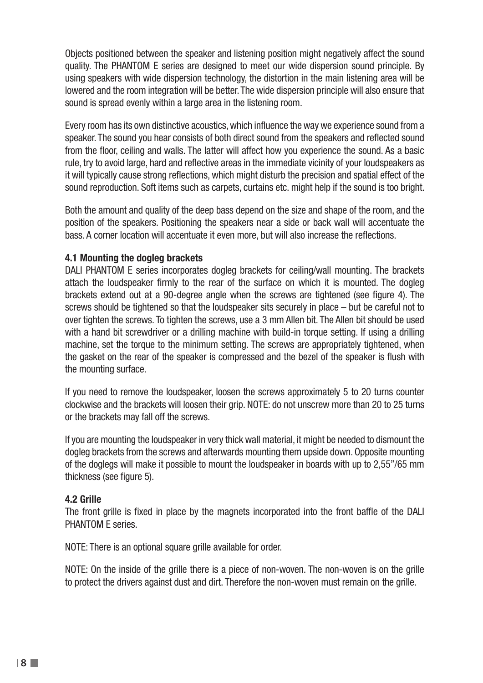Objects positioned between the speaker and listening position might negatively affect the sound quality. The PHANTOM E series are designed to meet our wide dispersion sound principle. By using speakers with wide dispersion technology, the distortion in the main listening area will be lowered and the room integration will be better. The wide dispersion principle will also ensure that sound is spread evenly within a large area in the listening room.

Every room has its own distinctive acoustics, which influence the way we experience sound from a speaker. The sound you hear consists of both direct sound from the speakers and reflected sound from the floor, ceiling and walls. The latter will affect how you experience the sound. As a basic rule, try to avoid large, hard and reflective areas in the immediate vicinity of your loudspeakers as it will typically cause strong reflections, which might disturb the precision and spatial effect of the sound reproduction. Soft items such as carpets, curtains etc. might help if the sound is too bright.

Both the amount and quality of the deep bass depend on the size and shape of the room, and the position of the speakers. Positioning the speakers near a side or back wall will accentuate the bass. A corner location will accentuate it even more, but will also increase the reflections.

### **4.1 Mounting the dogleg brackets**

DALI PHANTOM E series incorporates dogleg brackets for ceiling/wall mounting. The brackets attach the loudspeaker firmly to the rear of the surface on which it is mounted. The dogleg brackets extend out at a 90-degree angle when the screws are tightened (see figure 4). The screws should be tightened so that the loudspeaker sits securely in place – but be careful not to over tighten the screws. To tighten the screws, use a 3 mm Allen bit. The Allen bit should be used with a hand bit screwdriver or a drilling machine with build-in torque setting. If using a drilling machine, set the torque to the minimum setting. The screws are appropriately tightened, when the gasket on the rear of the speaker is compressed and the bezel of the speaker is flush with the mounting surface.

If you need to remove the loudspeaker, loosen the screws approximately 5 to 20 turns counter clockwise and the brackets will loosen their grip. NOTE: do not unscrew more than 20 to 25 turns or the brackets may fall off the screws.

If you are mounting the loudspeaker in very thick wall material, it might be needed to dismount the dogleg brackets from the screws and afterwards mounting them upside down. Opposite mounting of the doglegs will make it possible to mount the loudspeaker in boards with up to 2,55"/65 mm thickness (see figure 5).

#### **4.2 Grille**

The front grille is fixed in place by the magnets incorporated into the front baffle of the DALI PHANTOM E series.

NOTE: There is an optional square grille available for order.

NOTE: On the inside of the grille there is a piece of non-woven. The non-woven is on the grille to protect the drivers against dust and dirt. Therefore the non-woven must remain on the grille.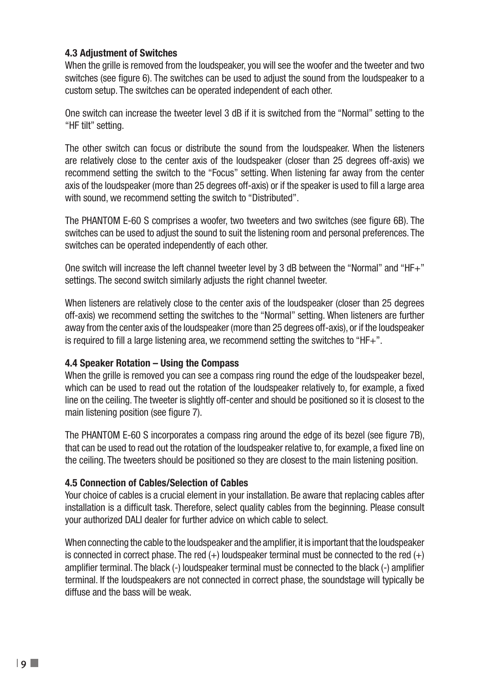### **4.3 Adjustment of Switches**

When the grille is removed from the loudspeaker, you will see the woofer and the tweeter and two switches (see figure 6). The switches can be used to adjust the sound from the loudspeaker to a custom setup. The switches can be operated independent of each other.

One switch can increase the tweeter level 3 dB if it is switched from the "Normal" setting to the "HF tilt" setting.

The other switch can focus or distribute the sound from the loudspeaker. When the listeners are relatively close to the center axis of the loudspeaker (closer than 25 degrees off-axis) we recommend setting the switch to the "Focus" setting. When listening far away from the center axis of the loudspeaker (more than 25 degrees off-axis) or if the speaker is used to fill a large area with sound, we recommend setting the switch to "Distributed".

The PHANTOM E-60 S comprises a woofer, two tweeters and two switches (see figure 6B). The switches can be used to adjust the sound to suit the listening room and personal preferences. The switches can be operated independently of each other.

One switch will increase the left channel tweeter level by 3 dB between the "Normal" and "HF+" settings. The second switch similarly adjusts the right channel tweeter.

When listeners are relatively close to the center axis of the loudspeaker (closer than 25 degrees off-axis) we recommend setting the switches to the "Normal" setting. When listeners are further away from the center axis of the loudspeaker (more than 25 degrees off-axis), or if the loudspeaker is required to fill a large listening area, we recommend setting the switches to "HF+".

### **4.4 Speaker Rotation – Using the Compass**

When the grille is removed you can see a compass ring round the edge of the loudspeaker bezel. which can be used to read out the rotation of the loudspeaker relatively to, for example, a fixed line on the ceiling. The tweeter is slightly off-center and should be positioned so it is closest to the main listening position (see figure 7).

The PHANTOM E-60 S incorporates a compass ring around the edge of its bezel (see figure 7B), that can be used to read out the rotation of the loudspeaker relative to, for example, a fixed line on the ceiling. The tweeters should be positioned so they are closest to the main listening position.

### **4.5 Connection of Cables/Selection of Cables**

Your choice of cables is a crucial element in your installation. Be aware that replacing cables after installation is a difficult task. Therefore, select quality cables from the beginning. Please consult your authorized DALI dealer for further advice on which cable to select.

When connecting the cable to the loudspeaker and the amplifier, it is important that the loudspeaker is connected in correct phase. The red  $(+)$  loudspeaker terminal must be connected to the red  $(+)$ amplifier terminal. The black (-) loudspeaker terminal must be connected to the black (-) amplifier terminal. If the loudspeakers are not connected in correct phase, the soundstage will typically be diffuse and the bass will be weak.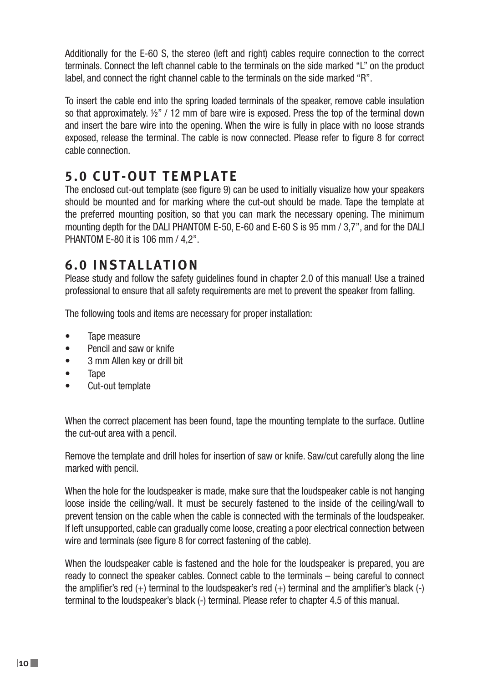Additionally for the E-60 S, the stereo (left and right) cables require connection to the correct terminals. Connect the left channel cable to the terminals on the side marked "L" on the product label, and connect the right channel cable to the terminals on the side marked "R".

To insert the cable end into the spring loaded terminals of the speaker, remove cable insulation so that approximately.  $\frac{1}{2}$ " / 12 mm of bare wire is exposed. Press the top of the terminal down and insert the bare wire into the opening. When the wire is fully in place with no loose strands exposed, release the terminal. The cable is now connected. Please refer to figure 8 for correct cable connection.

# **5.0 CUT-OUT TEMPLATE**

The enclosed cut-out template (see figure 9) can be used to initially visualize how your speakers should be mounted and for marking where the cut-out should be made. Tape the template at the preferred mounting position, so that you can mark the necessary opening. The minimum mounting depth for the DALI PHANTOM E-50, E-60 and E-60 S is 95 mm / 3,7", and for the DALI PHANTOM E-80 it is 106 mm / 4,2".

# **6.0 INSTALLATION**

Please study and follow the safety guidelines found in chapter 2.0 of this manual! Use a trained professional to ensure that all safety requirements are met to prevent the speaker from falling.

The following tools and items are necessary for proper installation:

- Tape measure
- Pencil and saw or knife
- 3 mm Allen key or drill bit
- Tape
- Cut-out template

When the correct placement has been found, tape the mounting template to the surface. Outline the cut-out area with a pencil.

Remove the template and drill holes for insertion of saw or knife. Saw/cut carefully along the line marked with pencil.

When the hole for the loudspeaker is made, make sure that the loudspeaker cable is not hanging loose inside the ceiling/wall. It must be securely fastened to the inside of the ceiling/wall to prevent tension on the cable when the cable is connected with the terminals of the loudspeaker. If left unsupported, cable can gradually come loose, creating a poor electrical connection between wire and terminals (see figure 8 for correct fastening of the cable).

When the loudspeaker cable is fastened and the hole for the loudspeaker is prepared, you are ready to connect the speaker cables. Connect cable to the terminals – being careful to connect the amplifier's red (+) terminal to the loudspeaker's red (+) terminal and the amplifier's black (-) terminal to the loudspeaker's black (-) terminal. Please refer to chapter 4.5 of this manual.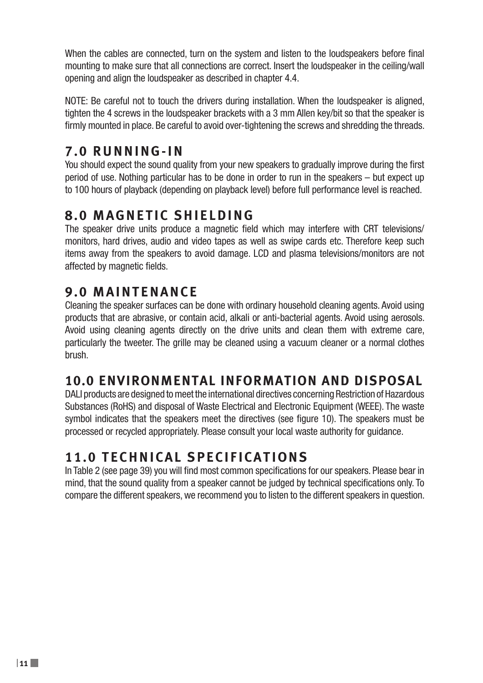When the cables are connected, turn on the system and listen to the loudspeakers before final mounting to make sure that all connections are correct. Insert the loudspeaker in the ceiling/wall opening and align the loudspeaker as described in chapter 4.4.

NOTE: Be careful not to touch the drivers during installation. When the loudspeaker is aligned, tighten the 4 screws in the loudspeaker brackets with a 3 mm Allen key/bit so that the speaker is firmly mounted in place. Be careful to avoid over-tightening the screws and shredding the threads.

## **7.0 RUNNING-IN**

You should expect the sound quality from your new speakers to gradually improve during the first period of use. Nothing particular has to be done in order to run in the speakers – but expect up to 100 hours of playback (depending on playback level) before full performance level is reached.

## **8.0 MAGNETIC SHIELDING**

The speaker drive units produce a magnetic field which may interfere with CRT televisions/ monitors, hard drives, audio and video tapes as well as swipe cards etc. Therefore keep such items away from the speakers to avoid damage. LCD and plasma televisions/monitors are not affected by magnetic fields.

# **9.0 MAINTENANCE**

Cleaning the speaker surfaces can be done with ordinary household cleaning agents. Avoid using products that are abrasive, or contain acid, alkali or anti-bacterial agents. Avoid using aerosols. Avoid using cleaning agents directly on the drive units and clean them with extreme care, particularly the tweeter. The grille may be cleaned using a vacuum cleaner or a normal clothes brush.

## **10.0 ENVIRONMENTAL INFORMATION AND DISPOSAL**

DALI products are designed to meet the international directives concerning Restriction of Hazardous Substances (RoHS) and disposal of Waste Electrical and Electronic Equipment (WEEE). The waste symbol indicates that the speakers meet the directives (see figure 10). The speakers must be processed or recycled appropriately. Please consult your local waste authority for guidance.

# **11.0 TECHNICAL SPECIFICATIONS**

In Table 2 (see page 39) you will find most common specifications for our speakers. Please bear in mind, that the sound quality from a speaker cannot be judged by technical specifications only. To compare the different speakers, we recommend you to listen to the different speakers in question.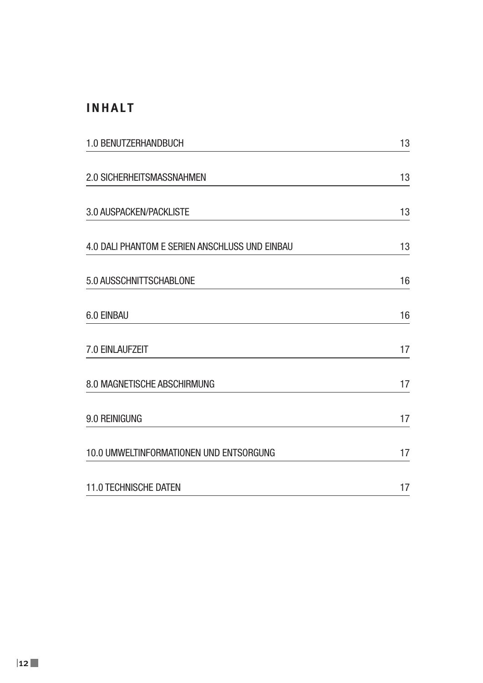### **INHALT**

| 1.0 BENUTZERHANDBUCH                           | 13 |  |
|------------------------------------------------|----|--|
| 2.0 SICHERHEITSMASSNAHMEN                      | 13 |  |
| 3.0 AUSPACKEN/PACKLISTE                        | 13 |  |
| 4.0 DALI PHANTOM E SERIEN ANSCHLUSS UND EINBAU | 13 |  |
| 5.0 AUSSCHNITTSCHABLONE                        | 16 |  |
| 6.0 EINBAU                                     | 16 |  |
| 7.0 EINLAUFZEIT                                | 17 |  |
| 8.0 MAGNETISCHE ABSCHIRMUNG                    | 17 |  |
| 9.0 REINIGUNG                                  | 17 |  |
| 10.0 UMWELTINFORMATIONEN UND ENTSORGUNG        | 17 |  |
| <b>11.0 TECHNISCHE DATEN</b>                   | 17 |  |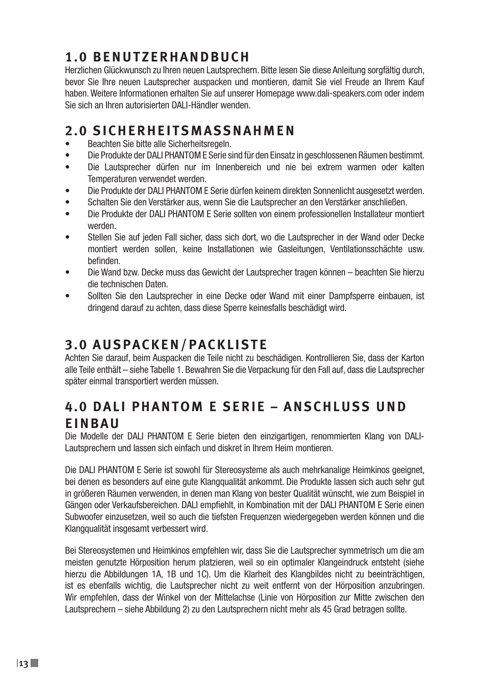# **1.0 BENUTZERHANDBUCH**

Herzlichen Glückwunsch zu Ihren neuen Lautsprechern. Bitte lesen Sie diese Anleitung sorgfältig durch, bevor Sie Ihre neuen Lautsprecher auspacken und montieren, damit Sie viel Freude an Ihrem Kauf haben. Weitere Informationen erhalten Sie auf unserer Homepage www.dali-speakers.com oder indem Sie sich an Ihren autorisierten DALI-Händler wenden.

## **2.0 SICHERHEITSMASSNAHMEN**

- Beachten Sie bitte alle Sicherheitsregeln.
- Die Produkte der DALI PHANTOM E Serie sind für den Einsatz in geschlossenen Räumen bestimmt.
- Die Lautsprecher dürfen nur im Innenbereich und nie bei extrem warmen oder kalten Temperaturen verwendet werden.
- Die Produkte der DALI PHANTOM E Serie dürfen keinem direkten Sonnenlicht ausgesetzt werden.
- Schalten Sie den Verstärker aus, wenn Sie die Lautsprecher an den Verstärker anschließen.
- Die Produkte der DALI PHANTOM E Serie sollten von einem professionellen Installateur montiert werden.
- Stellen Sie auf jeden Fall sicher, dass sich dort, wo die Lautsprecher in der Wand oder Decke montiert werden sollen, keine Installationen wie Gasleitungen, Ventilationsschächte usw. befinden.
- Die Wand bzw. Decke muss das Gewicht der Lautsprecher tragen können beachten Sie hierzu die technischen Daten.
- Sollten Sie den Lautsprecher in eine Decke oder Wand mit einer Dampfsperre einbauen, ist dringend darauf zu achten, dass diese Sperre keinesfalls beschädigt wird.

# **3.0 AUSPACKEN/PACKLISTE**

Achten Sie darauf, beim Auspacken die Teile nicht zu beschädigen. Kontrollieren Sie, dass der Karton alle Teile enthält – siehe Tabelle 1. Bewahren Sie die Verpackung für den Fall auf, dass die Lautsprecher später einmal transportiert werden müssen.

# **4.0 DALL PHANTOM E SERIE – ANSCHLUSS UND EINBAU**

Die Modelle der DALI PHANTOM E Serie bieten den einzigartigen, renommierten Klang von DALI-Lautsprechern und lassen sich einfach und diskret in Ihrem Heim montieren.

Die DALI PHANTOM E Serie ist sowohl für Stereosysteme als auch mehrkanalige Heimkinos geeignet, bei denen es besonders auf eine gute Klangqualität ankommt. Die Produkte lassen sich auch sehr gut in größeren Räumen verwenden, in denen man Klang von bester Qualität wünscht, wie zum Beispiel in Gängen oder Verkaufsbereichen. DALI empfiehlt, in Kombination mit der DALI PHANTOM E Serie einen Subwoofer einzusetzen, weil so auch die tiefsten Frequenzen wiedergegeben werden können und die Klangqualität insgesamt verbessert wird.

Bei Stereosystemen und Heimkinos empfehlen wir, dass Sie die Lautsprecher symmetrisch um die am meisten genutzte Hörposition herum platzieren, weil so ein optimaler Klangeindruck entsteht (siehe hierzu die Abbildungen 1A, 1B und 1C). Um die Klarheit des Klangbildes nicht zu beeinträchtigen, ist es ebenfalls wichtig, die Lautsprecher nicht zu weit entfernt von der Hörposition anzubringen. Wir empfehlen, dass der Winkel von der Mittelachse (Linie von Hörposition zur Mitte zwischen den Lautsprechern – siehe Abbildung 2) zu den Lautsprechern nicht mehr als 45 Grad betragen sollte.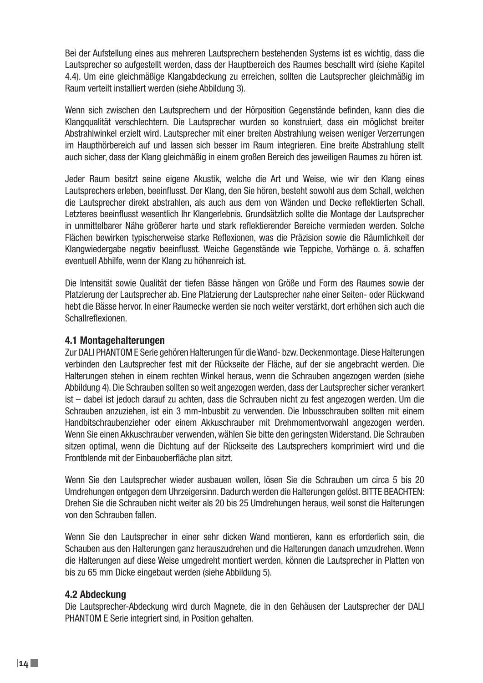Bei der Aufstellung eines aus mehreren Lautsprechern bestehenden Systems ist es wichtig, dass die Lautsprecher so aufgestellt werden, dass der Hauptbereich des Raumes beschallt wird (siehe Kapitel 4.4). Um eine gleichmäßige Klangabdeckung zu erreichen, sollten die Lautsprecher gleichmäßig im Raum verteilt installiert werden (siehe Abbildung 3).

Wenn sich zwischen den Lautsprechern und der Hörposition Gegenstände befinden, kann dies die Klangqualität verschlechtern. Die Lautsprecher wurden so konstruiert, dass ein möglichst breiter Abstrahlwinkel erzielt wird. Lautsprecher mit einer breiten Abstrahlung weisen weniger Verzerrungen im Haupthörbereich auf und lassen sich besser im Raum integrieren. Eine breite Abstrahlung stellt auch sicher, dass der Klang gleichmäßig in einem großen Bereich des jeweiligen Raumes zu hören ist.

Jeder Raum besitzt seine eigene Akustik, welche die Art und Weise, wie wir den Klang eines Lautsprechers erleben, beeinflusst. Der Klang, den Sie hören, besteht sowohl aus dem Schall, welchen die Lautsprecher direkt abstrahlen, als auch aus dem von Wänden und Decke reflektierten Schall. Letzteres beeinflusst wesentlich Ihr Klangerlebnis. Grundsätzlich sollte die Montage der Lautsprecher in unmittelbarer Nähe größerer harte und stark reflektierender Bereiche vermieden werden. Solche Flächen bewirken typischerweise starke Reflexionen, was die Präzision sowie die Räumlichkeit der Klangwiedergabe negativ beeinflusst. Weiche Gegenstände wie Teppiche, Vorhänge o. ä. schaffen eventuell Abhilfe, wenn der Klang zu höhenreich ist.

Die Intensität sowie Qualität der tiefen Bässe hängen von Größe und Form des Raumes sowie der Platzierung der Lautsprecher ab. Eine Platzierung der Lautsprecher nahe einer Seiten- oder Rückwand hebt die Bässe hervor. In einer Raumecke werden sie noch weiter verstärkt, dort erhöhen sich auch die Schallreflexionen.

#### **4.1 Montagehalterungen**

Zur DALI PHANTOM E Serie gehören Halterungen für die Wand- bzw. Deckenmontage. Diese Halterungen verbinden den Lautsprecher fest mit der Rückseite der Fläche, auf der sie angebracht werden. Die Halterungen stehen in einem rechten Winkel heraus, wenn die Schrauben angezogen werden (siehe Abbildung 4). Die Schrauben sollten so weit angezogen werden, dass der Lautsprecher sicher verankert ist – dabei ist jedoch darauf zu achten, dass die Schrauben nicht zu fest angezogen werden. Um die Schrauben anzuziehen, ist ein 3 mm-Inbusbit zu verwenden. Die Inbusschrauben sollten mit einem Handbitschraubenzieher oder einem Akkuschrauber mit Drehmomentvorwahl angezogen werden. Wenn Sie einen Akkuschrauber verwenden, wählen Sie bitte den geringsten Widerstand. Die Schrauben sitzen optimal, wenn die Dichtung auf der Rückseite des Lautsprechers komprimiert wird und die Frontblende mit der Einbauoberfläche plan sitzt.

Wenn Sie den Lautsprecher wieder ausbauen wollen, lösen Sie die Schrauben um circa 5 bis 20 Umdrehungen entgegen dem Uhrzeigersinn. Dadurch werden die Halterungen gelöst. BITTE BEACHTEN: Drehen Sie die Schrauben nicht weiter als 20 bis 25 Umdrehungen heraus, weil sonst die Halterungen von den Schrauben fallen.

Wenn Sie den Lautsprecher in einer sehr dicken Wand montieren, kann es erforderlich sein, die Schauben aus den Halterungen ganz herauszudrehen und die Halterungen danach umzudrehen. Wenn die Halterungen auf diese Weise umgedreht montiert werden, können die Lautsprecher in Platten von bis zu 65 mm Dicke eingebaut werden (siehe Abbildung 5).

#### **4.2 Abdeckung**

Die Lautsprecher-Abdeckung wird durch Magnete, die in den Gehäusen der Lautsprecher der DALI PHANTOM E Serie integriert sind, in Position gehalten.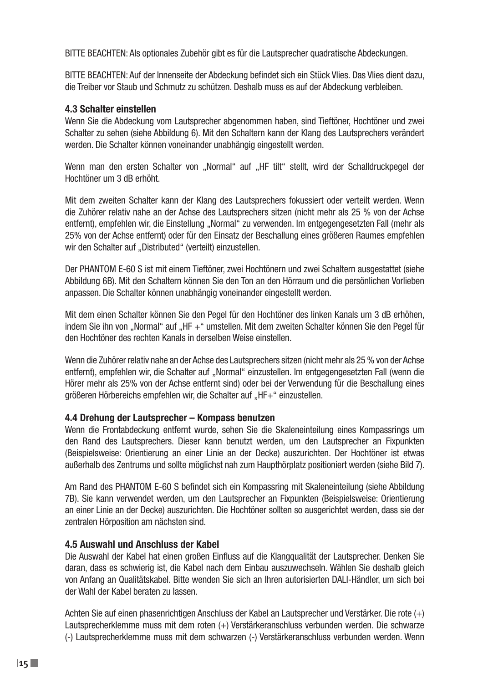BITTE BEACHTEN: Als optionales Zubehör gibt es für die Lautsprecher quadratische Abdeckungen.

BITTE BEACHTEN: Auf der Innenseite der Abdeckung befindet sich ein Stück Vlies. Das Vlies dient dazu, die Treiber vor Staub und Schmutz zu schützen. Deshalb muss es auf der Abdeckung verbleiben.

#### **4.3 Schalter einstellen**

Wenn Sie die Abdeckung vom Lautsprecher abgenommen haben, sind Tieftöner, Hochtöner und zwei Schalter zu sehen (siehe Abbildung 6). Mit den Schaltern kann der Klang des Lautsprechers verändert werden. Die Schalter können voneinander unabhängig eingestellt werden.

Wenn man den ersten Schalter von "Normal" auf "HF tilt" stellt, wird der Schalldruckpegel der Hochtöner um 3 dB erhöht.

Mit dem zweiten Schalter kann der Klang des Lautsprechers fokussiert oder verteilt werden. Wenn die Zuhörer relativ nahe an der Achse des Lautsprechers sitzen (nicht mehr als 25 % von der Achse entfernt), empfehlen wir, die Einstellung "Normal" zu verwenden. Im entgegengesetzten Fall (mehr als 25% von der Achse entfernt) oder für den Einsatz der Beschallung eines größeren Raumes empfehlen wir den Schalter auf "Distributed" (verteilt) einzustellen.

Der PHANTOM E-60 S ist mit einem Tieftöner, zwei Hochtönern und zwei Schaltern ausgestattet (siehe Abbildung 6B). Mit den Schaltern können Sie den Ton an den Hörraum und die persönlichen Vorlieben anpassen. Die Schalter können unabhängig voneinander eingestellt werden.

Mit dem einen Schalter können Sie den Pegel für den Hochtöner des linken Kanals um 3 dB erhöhen, indem Sie ihn von "Normal" auf "HF +" umstellen. Mit dem zweiten Schalter können Sie den Pegel für den Hochtöner des rechten Kanals in derselben Weise einstellen.

Wenn die Zuhörer relativ nahe an der Achse des Lautsprechers sitzen (nicht mehr als 25 % von der Achse entfernt), empfehlen wir, die Schalter auf "Normal" einzustellen. Im entgegengesetzten Fall (wenn die Hörer mehr als 25% von der Achse entfernt sind) oder bei der Verwendung für die Beschallung eines größeren Hörbereichs empfehlen wir, die Schalter auf "HF+" einzustellen.

### **4.4 Drehung der Lautsprecher – Kompass benutzen**

Wenn die Frontabdeckung entfernt wurde, sehen Sie die Skaleneinteilung eines Kompassrings um den Rand des Lautsprechers. Dieser kann benutzt werden, um den Lautsprecher an Fixpunkten (Beispielsweise: Orientierung an einer Linie an der Decke) auszurichten. Der Hochtöner ist etwas außerhalb des Zentrums und sollte möglichst nah zum Haupthörplatz positioniert werden (siehe Bild 7).

Am Rand des PHANTOM E-60 S befindet sich ein Kompassring mit Skaleneinteilung (siehe Abbildung 7B). Sie kann verwendet werden, um den Lautsprecher an Fixpunkten (Beispielsweise: Orientierung an einer Linie an der Decke) auszurichten. Die Hochtöner sollten so ausgerichtet werden, dass sie der zentralen Hörposition am nächsten sind.

### **4.5 Auswahl und Anschluss der Kabel**

Die Auswahl der Kabel hat einen großen Einfluss auf die Klangqualität der Lautsprecher. Denken Sie daran, dass es schwierig ist, die Kabel nach dem Einbau auszuwechseln. Wählen Sie deshalb gleich von Anfang an Qualitätskabel. Bitte wenden Sie sich an Ihren autorisierten DALI-Händler, um sich bei der Wahl der Kabel beraten zu lassen.

Achten Sie auf einen phasenrichtigen Anschluss der Kabel an Lautsprecher und Verstärker. Die rote (+) Lautsprecherklemme muss mit dem roten (+) Verstärkeranschluss verbunden werden. Die schwarze (-) Lautsprecherklemme muss mit dem schwarzen (-) Verstärkeranschluss verbunden werden. Wenn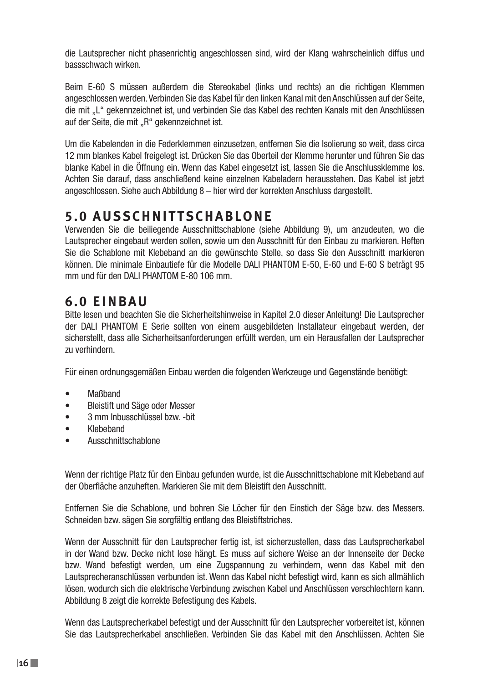die Lautsprecher nicht phasenrichtig angeschlossen sind, wird der Klang wahrscheinlich diffus und bassschwach wirken.

Beim E-60 S müssen außerdem die Stereokabel (links und rechts) an die richtigen Klemmen angeschlossen werden. Verbinden Sie das Kabel für den linken Kanal mit den Anschlüssen auf der Seite, die mit "L" gekennzeichnet ist, und verbinden Sie das Kabel des rechten Kanals mit den Anschlüssen auf der Seite, die mit "R" gekennzeichnet ist.

Um die Kabelenden in die Federklemmen einzusetzen, entfernen Sie die Isolierung so weit, dass circa 12 mm blankes Kabel freigelegt ist. Drücken Sie das Oberteil der Klemme herunter und führen Sie das blanke Kabel in die Öffnung ein. Wenn das Kabel eingesetzt ist, lassen Sie die Anschlussklemme los. Achten Sie darauf, dass anschließend keine einzelnen Kabeladern herausstehen. Das Kabel ist jetzt angeschlossen. Siehe auch Abbildung 8 – hier wird der korrekten Anschluss dargestellt.

## **5.0 AUSSCHNITTSCHABLONE**

Verwenden Sie die beiliegende Ausschnittschablone (siehe Abbildung 9), um anzudeuten, wo die Lautsprecher eingebaut werden sollen, sowie um den Ausschnitt für den Einbau zu markieren. Heften Sie die Schablone mit Klebeband an die gewünschte Stelle, so dass Sie den Ausschnitt markieren können. Die minimale Einbautiefe für die Modelle DALI PHANTOM E-50, E-60 und E-60 S beträgt 95 mm und für den DALI PHANTOM E-80 106 mm.

# **6.0 EINBAU**

Bitte lesen und beachten Sie die Sicherheitshinweise in Kapitel 2.0 dieser Anleitung! Die Lautsprecher der DALI PHANTOM E Serie sollten von einem ausgebildeten Installateur eingebaut werden, der sicherstellt, dass alle Sicherheitsanforderungen erfüllt werden, um ein Herausfallen der Lautsprecher zu verhindern.

Für einen ordnungsgemäßen Einbau werden die folgenden Werkzeuge und Gegenstände benötigt:

- Maßband
- Bleistift und Säge oder Messer
- 3 mm Inbusschlüssel bzw -bit
- Klebeband
- Ausschnittschablone

Wenn der richtige Platz für den Einbau gefunden wurde, ist die Ausschnittschablone mit Klebeband auf der Oberfläche anzuheften. Markieren Sie mit dem Bleistift den Ausschnitt.

Entfernen Sie die Schablone, und bohren Sie Löcher für den Einstich der Säge bzw. des Messers. Schneiden bzw. sägen Sie sorgfältig entlang des Bleistiftstriches.

Wenn der Ausschnitt für den Lautsprecher fertig ist, ist sicherzustellen, dass das Lautsprecherkabel in der Wand bzw. Decke nicht lose hängt. Es muss auf sichere Weise an der Innenseite der Decke bzw. Wand befestigt werden, um eine Zugspannung zu verhindern, wenn das Kabel mit den Lautsprecheranschlüssen verbunden ist. Wenn das Kabel nicht befestigt wird, kann es sich allmählich lösen, wodurch sich die elektrische Verbindung zwischen Kabel und Anschlüssen verschlechtern kann. Abbildung 8 zeigt die korrekte Befestigung des Kabels.

Wenn das Lautsprecherkabel befestigt und der Ausschnitt für den Lautsprecher vorbereitet ist, können Sie das Lautsprecherkabel anschließen. Verbinden Sie das Kabel mit den Anschlüssen. Achten Sie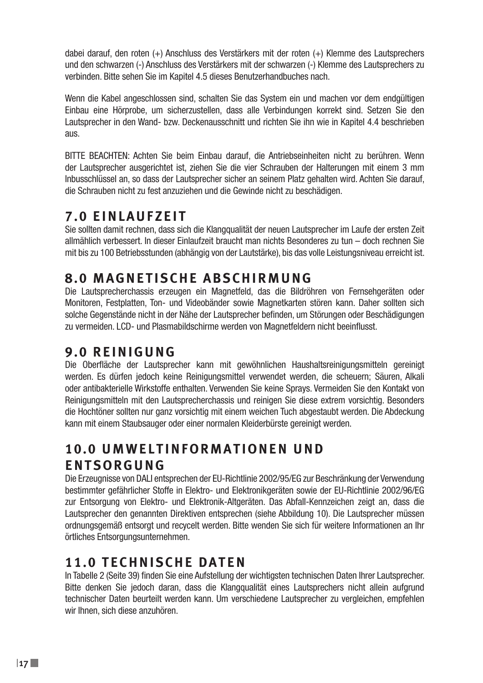dabei darauf, den roten (+) Anschluss des Verstärkers mit der roten (+) Klemme des Lautsprechers und den schwarzen (-) Anschluss des Verstärkers mit der schwarzen (-) Klemme des Lautsprechers zu verbinden. Bitte sehen Sie im Kapitel 4.5 dieses Benutzerhandbuches nach.

Wenn die Kabel angeschlossen sind, schalten Sie das System ein und machen vor dem endgültigen Einbau eine Hörprobe, um sicherzustellen, dass alle Verbindungen korrekt sind. Setzen Sie den Lautsprecher in den Wand- bzw. Deckenausschnitt und richten Sie ihn wie in Kapitel 4.4 beschrieben aus.

BITTE BEACHTEN: Achten Sie beim Einbau darauf, die Antriebseinheiten nicht zu berühren. Wenn der Lautsprecher ausgerichtet ist, ziehen Sie die vier Schrauben der Halterungen mit einem 3 mm Inbusschlüssel an, so dass der Lautsprecher sicher an seinem Platz gehalten wird. Achten Sie darauf, die Schrauben nicht zu fest anzuziehen und die Gewinde nicht zu beschädigen.

# **7.0 EINLAUFZEIT**

Sie sollten damit rechnen, dass sich die Klangqualität der neuen Lautsprecher im Laufe der ersten Zeit allmählich verbessert. In dieser Einlaufzeit braucht man nichts Besonderes zu tun – doch rechnen Sie mit bis zu 100 Betriebsstunden (abhängig von der Lautstärke), bis das volle Leistungsniveau erreicht ist.

# **8.0 MAGNETISCHE ABSCHIRMUNG**

Die Lautsprecherchassis erzeugen ein Magnetfeld, das die Bildröhren von Fernsehgeräten oder Monitoren, Festplatten, Ton- und Videobänder sowie Magnetkarten stören kann. Daher sollten sich solche Gegenstände nicht in der Nähe der Lautsprecher befinden, um Störungen oder Beschädigungen zu vermeiden. LCD- und Plasmabildschirme werden von Magnetfeldern nicht beeinflusst.

## **9.0 REINIGUNG**

Die Oberfläche der Lautsprecher kann mit gewöhnlichen Haushaltsreinigungsmitteln gereinigt werden. Es dürfen jedoch keine Reinigungsmittel verwendet werden, die scheuern; Säuren, Alkali oder antibakterielle Wirkstoffe enthalten. Verwenden Sie keine Sprays. Vermeiden Sie den Kontakt von Reinigungsmitteln mit den Lautsprecherchassis und reinigen Sie diese extrem vorsichtig. Besonders die Hochtöner sollten nur ganz vorsichtig mit einem weichen Tuch abgestaubt werden. Die Abdeckung kann mit einem Staubsauger oder einer normalen Kleiderbürste gereinigt werden.

# **1 0 . 0 U M W E L T I N F O R M A T I O N E N U N D ENTSORGUNG**

Die Erzeugnisse von DALI entsprechen der EU-Richtlinie 2002/95/EG zur Beschränkung der Verwendung bestimmter gefährlicher Stoffe in Elektro- und Elektronikgeräten sowie der EU-Richtlinie 2002/96/EG zur Entsorgung von Elektro- und Elektronik-Altgeräten. Das Abfall-Kennzeichen zeigt an, dass die Lautsprecher den genannten Direktiven entsprechen (siehe Abbildung 10). Die Lautsprecher müssen ordnungsgemäß entsorgt und recycelt werden. Bitte wenden Sie sich für weitere Informationen an Ihr örtliches Entsorgungsunternehmen.

# **11.0 TECHNISCHE DATEN**

In Tabelle 2 (Seite 39) finden Sie eine Aufstellung der wichtigsten technischen Daten Ihrer Lautsprecher. Bitte denken Sie jedoch daran, dass die Klangqualität eines Lautsprechers nicht allein aufgrund technischer Daten beurteilt werden kann. Um verschiedene Lautsprecher zu vergleichen, empfehlen wir Ihnen, sich diese anzuhören.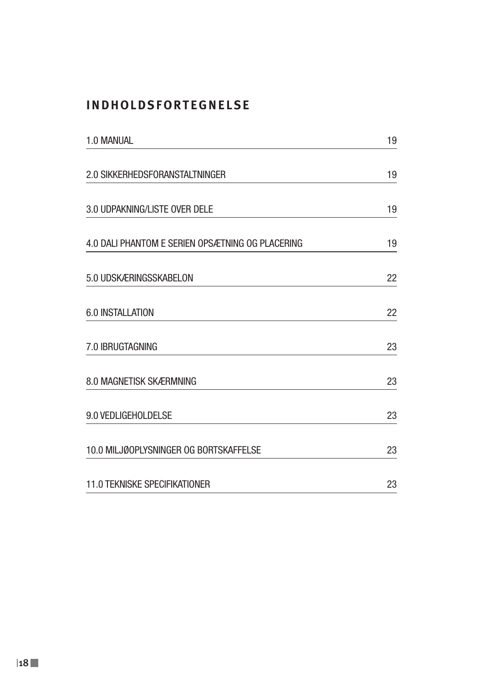## **INDHOLDSFORTEGNELSE**

| 1.0 MANUAL                                       | 19 |  |
|--------------------------------------------------|----|--|
| 2.0 SIKKERHEDSFORANSTALTNINGER                   | 19 |  |
| 3.0 UDPAKNING/LISTE OVER DELE                    | 19 |  |
| 4.0 DALI PHANTOM E SERIEN OPSÆTNING OG PLACERING | 19 |  |
| 5.0 UDSKÆRINGSSKABELON                           | 22 |  |
| 6.0 INSTALLATION                                 | 22 |  |
| 7.0 IBRUGTAGNING                                 | 23 |  |
| 8.0 MAGNETISK SKÆRMNING                          | 23 |  |
| 9.0 VEDLIGEHOLDELSE                              | 23 |  |
| 10.0 MILJØOPLYSNINGER OG BORTSKAFFELSE           | 23 |  |
| <b>11.0 TEKNISKE SPECIFIKATIONER</b>             | 23 |  |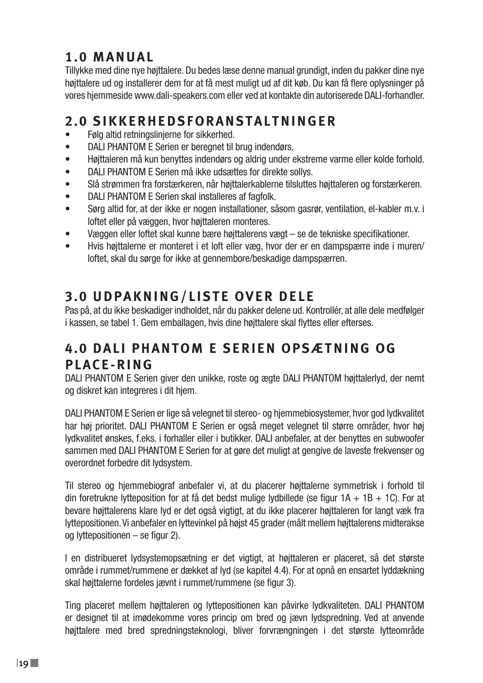# **1.0 MANUAL**

Tillykke med dine nye højttalere. Du bedes læse denne manual grundigt, inden du pakker dine nye højttalere ud og installerer dem for at få mest muligt ud af dit køb. Du kan få flere oplysninger på vores hjemmeside www.dali-speakers.com eller ved at kontakte din autoriserede DALI-forhandler.

# **2.0 SIKKERHEDSFORANSTALTNINGER**

- Følg altid retningslinjerne for sikkerhed.
- DALI PHANTOM E Serien er beregnet til brug indendørs.
- Højttaleren må kun benyttes indendørs og aldrig under ekstreme varme eller kolde forhold.
- DALI PHANTOM E Serien må ikke udsættes for direkte sollys.
- Slå strømmen fra forstærkeren, når højttalerkablerne tilsluttes højttaleren og forstærkeren.
- DALI PHANTOM E Serien skal installeres af fagfolk.
- Sørg altid for, at der ikke er nogen installationer, såsom gasrør, ventilation, el-kabler m.v. i loftet eller på væggen, hvor højttaleren monteres.
- Væggen eller loftet skal kunne bære højttalerens vægt se de tekniske specifikationer.
- Hvis højttalerne er monteret i et loft eller væg, hvor der er en dampspærre inde i muren/ loftet, skal du sørge for ikke at gennembore/beskadige dampspærren.

# **3.0 UDPAKNING/LISTE OVER DELE**

Pas på, at du ikke beskadiger indholdet, når du pakker delene ud. Kontrollér, at alle dele medfølger i kassen, se tabel 1. Gem emballagen, hvis dine højttalere skal flyttes eller efterses.

# **4 . 0 D A L I P H A N T O M E S E R I E N O P S Æ T N I N G O G PLACE-RING**

DALI PHANTOM E Serien giver den unikke, roste og ægte DALI PHANTOM højttalerlyd, der nemt og diskret kan integreres i dit hjem.

DALI PHANTOM E Serien er lige så velegnet til stereo- og hjemmebiosystemer, hvor god lydkvalitet har høj prioritet. DALI PHANTOM E Serien er også meget velegnet til større områder, hvor høj lydkvalitet ønskes, f.eks. i forhaller eller i butikker. DALI anbefaler, at der benyttes en subwoofer sammen med DALI PHANTOM E Serien for at gøre det muligt at gengive de laveste frekvenser og overordnet forbedre dit lydsystem.

Til stereo og hjemmebiograf anbefaler vi, at du placerer højttalerne symmetrisk i forhold til din foretrukne lytteposition for at få det bedst mulige lydbillede (se figur  $1A + 1B + 1C$ ). For at bevare højttalerens klare lyd er det også vigtigt, at du ikke placerer højttaleren for langt væk fra lyttepositionen. Vi anbefaler en lyttevinkel på højst 45 grader (målt mellem højttalerens midterakse og lyttepositionen – se figur 2).

I en distribueret lydsystemopsætning er det vigtigt, at højttaleren er placeret, så det største område i rummet/rummene er dækket af lyd (se kapitel 4.4). For at opnå en ensartet lyddækning skal højttalerne fordeles jævnt i rummet/rummene (se figur 3).

Ting placeret mellem højttaleren og lyttepositionen kan påvirke lydkvaliteten. DALI PHANTOM er designet til at imødekomme vores princip om bred og jævn lydspredning. Ved at anvende højttalere med bred spredningsteknologi, bliver forvrængningen i det største lytteområde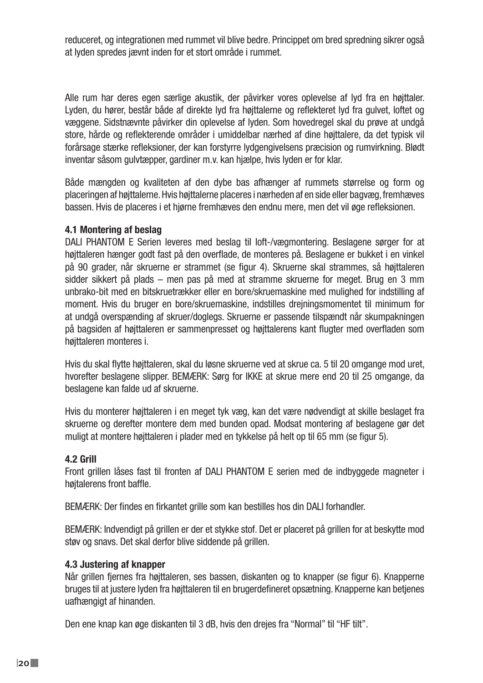reduceret, og integrationen med rummet vil blive bedre. Princippet om bred spredning sikrer også at lyden spredes jævnt inden for et stort område i rummet.

Alle rum har deres egen særlige akustik, der påvirker vores oplevelse af lyd fra en højttaler. Lyden, du hører, består både af direkte lyd fra højttalerne og reflekteret lyd fra gulvet, loftet og væggene. Sidstnævnte påvirker din oplevelse af lyden. Som hovedregel skal du prøve at undgå store, hårde og reflekterende områder i umiddelbar nærhed af dine højttalere, da det typisk vil forårsage stærke refleksioner, der kan forstyrre lydgengivelsens præcision og rumvirkning. Blødt inventar såsom gulvtæpper, gardiner m.v. kan hjælpe, hvis lyden er for klar.

Både mængden og kvaliteten af den dybe bas afhænger af rummets størrelse og form og placeringen af højttalerne. Hvis højttalerne placeres i nærheden af en side eller bagvæg, fremhæves bassen. Hvis de placeres i et hjørne fremhæves den endnu mere, men det vil øge refleksionen.

#### **4.1 Montering af beslag**

DALI PHANTOM E Serien leveres med beslag til loft-/vægmontering. Beslagene sørger for at højttaleren hænger godt fast på den overflade, de monteres på. Beslagene er bukket i en vinkel på 90 grader, når skruerne er strammet (se figur 4). Skruerne skal strammes, så højttaleren sidder sikkert på plads – men pas på med at stramme skruerne for meget. Brug en 3 mm unbrako-bit med en bitskruetrækker eller en bore/skruemaskine med mulighed for indstilling af moment. Hvis du bruger en bore/skruemaskine, indstilles drejningsmomentet til minimum for at undgå overspænding af skruer/doglegs. Skruerne er passende tilspændt når skumpakningen på bagsiden af højttaleren er sammenpresset og højttalerens kant flugter med overfladen som høittaleren monteres i.

Hvis du skal flytte højttaleren, skal du løsne skruerne ved at skrue ca. 5 til 20 omgange mod uret, hvorefter beslagene slipper. BEMÆRK: Sørg for IKKE at skrue mere end 20 til 25 omgange, da beslagene kan falde ud af skruerne.

Hvis du monterer højttaleren i en meget tyk væg, kan det være nødvendigt at skille beslaget fra skruerne og derefter montere dem med bunden opad. Modsat montering af beslagene gør det muligt at montere højttaleren i plader med en tykkelse på helt op til 65 mm (se figur 5).

### **4.2 Grill**

Front grillen låses fast til fronten af DALI PHANTOM E serien med de indbyggede magneter i høitalerens front baffle.

BEMÆRK: Der findes en firkantet grille som kan bestilles hos din DALI forhandler.

BEMÆRK: Indvendigt på grillen er der et stykke stof. Det er placeret på grillen for at beskytte mod støv og snavs. Det skal derfor blive siddende på grillen.

#### **4.3 Justering af knapper**

Når grillen fjernes fra højttaleren, ses bassen, diskanten og to knapper (se figur 6). Knapperne bruges til at justere lyden fra højttaleren til en brugerdefineret opsætning. Knapperne kan betjenes uafhængigt af hinanden.

Den ene knap kan øge diskanten til 3 dB, hvis den drejes fra "Normal" til "HF tilt".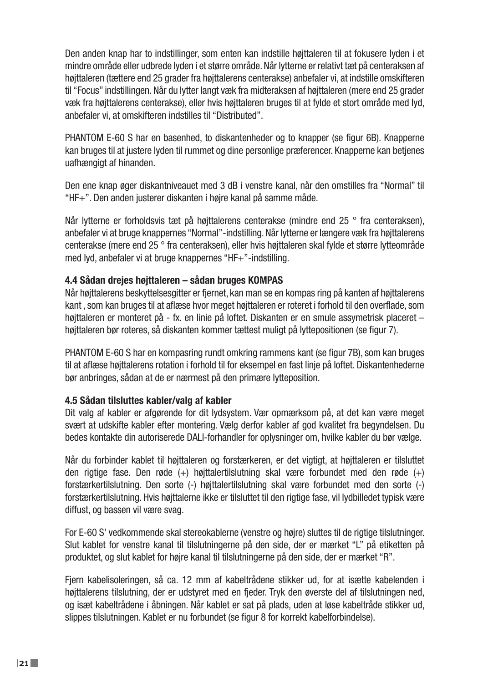Den anden knap har to indstillinger, som enten kan indstille højttaleren til at fokusere lyden i et mindre område eller udbrede lyden i et større område. Når lytterne er relativt tæt på centeraksen af højttaleren (tættere end 25 grader fra højttalerens centerakse) anbefaler vi, at indstille omskifteren til "Focus" indstillingen. Når du lytter langt væk fra midteraksen af højttaleren (mere end 25 grader væk fra højttalerens centerakse), eller hvis højttaleren bruges til at fylde et stort område med lyd, anbefaler vi, at omskifteren indstilles til "Distributed".

PHANTOM E-60 S har en basenhed, to diskantenheder og to knapper (se figur 6B). Knapperne kan bruges til at justere lyden til rummet og dine personlige præferencer. Knapperne kan betjenes uafhængigt af hinanden.

Den ene knap øger diskantniveauet med 3 dB i venstre kanal, når den omstilles fra "Normal" til "HF+". Den anden justerer diskanten i højre kanal på samme måde.

Når lytterne er forholdsvis tæt på højttalerens centerakse (mindre end 25 ° fra centeraksen), anbefaler vi at bruge knappernes "Normal"-indstilling. Når lytterne er længere væk fra højttalerens centerakse (mere end 25 ° fra centeraksen), eller hvis højttaleren skal fylde et større lytteområde med lyd, anbefaler vi at bruge knappernes "HF+"-indstilling.

### **4.4 Sådan drejes højttaleren – sådan bruges KOMPAS**

Når højttalerens beskyttelsesgitter er fjernet, kan man se en kompas ring på kanten af højttalerens kant , som kan bruges til at aflæse hvor meget højttaleren er roteret i forhold til den overflade, som højttaleren er monteret på - fx. en linie på loftet. Diskanten er en smule assymetrisk placeret – højttaleren bør roteres, så diskanten kommer tættest muligt på lyttepositionen (se figur 7).

PHANTOM E-60 S har en kompasring rundt omkring rammens kant (se figur 7B), som kan bruges til at aflæse højttalerens rotation i forhold til for eksempel en fast linje på loftet. Diskantenhederne bør anbringes, sådan at de er nærmest på den primære lytteposition.

### **4.5 Sådan tilsluttes kabler/valg af kabler**

Dit valg af kabler er afgørende for dit lydsystem. Vær opmærksom på, at det kan være meget svært at udskifte kabler efter montering. Vælg derfor kabler af god kvalitet fra begyndelsen. Du bedes kontakte din autoriserede DALI-forhandler for oplysninger om, hvilke kabler du bør vælge.

Når du forbinder kablet til højttaleren og forstærkeren, er det vigtigt, at højttaleren er tilsluttet den rigtige fase. Den røde (+) højttalertilslutning skal være forbundet med den røde (+) forstærkertilslutning. Den sorte (-) højttalertilslutning skal være forbundet med den sorte (-) forstærkertilslutning. Hvis højttalerne ikke er tilsluttet til den rigtige fase, vil lydbilledet typisk være diffust, og bassen vil være svag.

For E-60 S' vedkommende skal stereokablerne (venstre og højre) sluttes til de rigtige tilslutninger. Slut kablet for venstre kanal til tilslutningerne på den side, der er mærket "L" på etiketten på produktet, og slut kablet for højre kanal til tilslutningerne på den side, der er mærket "R".

Fjern kabelisoleringen, så ca. 12 mm af kabeltrådene stikker ud, for at isætte kabelenden i højttalerens tilslutning, der er udstyret med en fjeder. Tryk den øverste del af tilslutningen ned, og isæt kabeltrådene i åbningen. Når kablet er sat på plads, uden at løse kabeltråde stikker ud, slippes tilslutningen. Kablet er nu forbundet (se figur 8 for korrekt kabelforbindelse).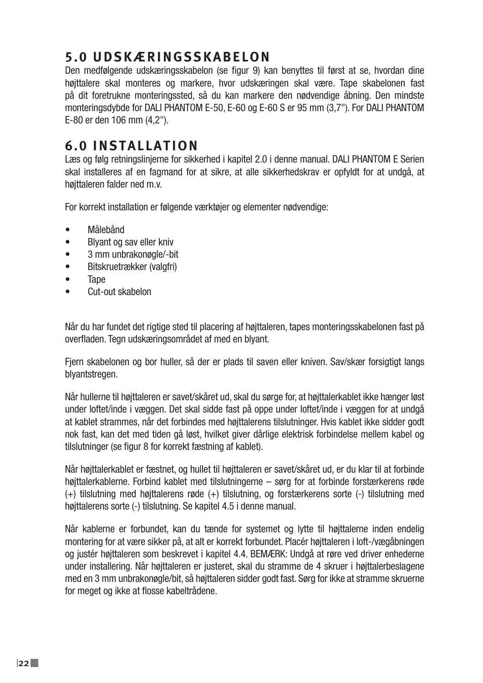# **5.0 UDSKÆRINGSSKABELON**

Den medfølgende udskæringsskabelon (se figur 9) kan benyttes til først at se, hvordan dine højttalere skal monteres og markere, hvor udskæringen skal være. Tape skabelonen fast på dit foretrukne monteringssted, så du kan markere den nødvendige åbning. Den mindste monteringsdybde for DALI PHANTOM E-50, E-60 og E-60 S er 95 mm (3,7"). For DALI PHANTOM E-80 er den 106 mm (4,2").

## **6.0 INSTALLATION**

Læs og følg retningslinjerne for sikkerhed i kapitel 2.0 i denne manual. DALI PHANTOM E Serien skal installeres af en fagmand for at sikre, at alle sikkerhedskrav er opfyldt for at undgå, at højttaleren falder ned m.v.

For korrekt installation er følgende værktøjer og elementer nødvendige:

- Målebånd
- Blyant og sav eller kniv
- 3 mm unbrakonøgle/-bit
- Bitskruetrækker (valgfri)
- Tape
- Cut-out skabelon

Når du har fundet det rigtige sted til placering af højttaleren, tapes monteringsskabelonen fast på overfladen. Tegn udskæringsområdet af med en blyant.

Fjern skabelonen og bor huller, så der er plads til saven eller kniven. Sav/skær forsigtigt langs blyantstregen.

Når hullerne til højttaleren er savet/skåret ud, skal du sørge for, at højttalerkablet ikke hænger løst under loftet/inde i væggen. Det skal sidde fast på oppe under loftet/inde i væggen for at undgå at kablet strammes, når det forbindes med højttalerens tilslutninger. Hvis kablet ikke sidder godt nok fast, kan det med tiden gå løst, hvilket giver dårlige elektrisk forbindelse mellem kabel og tilslutninger (se figur 8 for korrekt fæstning af kablet).

Når højttalerkablet er fæstnet, og hullet til højttaleren er savet/skåret ud, er du klar til at forbinde højttalerkablerne. Forbind kablet med tilslutningerne – sørg for at forbinde forstærkerens røde (+) tilslutning med højttalerens røde (+) tilslutning, og forstærkerens sorte (-) tilslutning med højttalerens sorte (-) tilslutning. Se kapitel 4.5 i denne manual.

Når kablerne er forbundet, kan du tænde for systemet og lytte til højttalerne inden endelig montering for at være sikker på, at alt er korrekt forbundet. Placér højttaleren i loft-/vægåbningen og justér højttaleren som beskrevet i kapitel 4.4. BEMÆRK: Undgå at røre ved driver enhederne under installering. Når højttaleren er justeret, skal du stramme de 4 skruer i højttalerbeslagene med en 3 mm unbrakonøgle/bit, så højttaleren sidder godt fast. Sørg for ikke at stramme skruerne for meget og ikke at flosse kabeltrådene.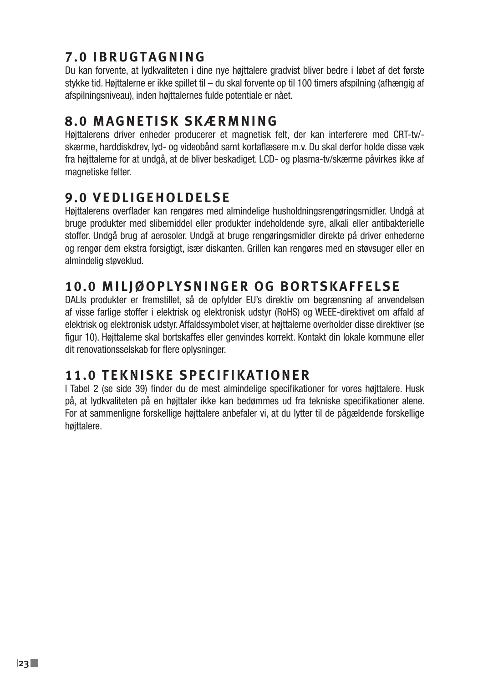# **7.0 IBRUGTAGNING**

Du kan forvente, at lydkvaliteten i dine nye højttalere gradvist bliver bedre i løbet af det første stykke tid. Højttalerne er ikke spillet til – du skal forvente op til 100 timers afspilning (afhængig af afspilningsniveau), inden højttalernes fulde potentiale er nået.

## **8.0 MAGNETISK SKÆRMNING**

Højttalerens driver enheder producerer et magnetisk felt, der kan interferere med CRT-tv/ skærme, harddiskdrev, lyd- og videobånd samt kortaflæsere m.v. Du skal derfor holde disse væk fra højttalerne for at undgå, at de bliver beskadiget. LCD- og plasma-tv/skærme påvirkes ikke af magnetiske felter.

# **9.0 VEDLIGEHOLDELSE**

Højttalerens overflader kan rengøres med almindelige husholdningsrengøringsmidler. Undgå at bruge produkter med slibemiddel eller produkter indeholdende syre, alkali eller antibakterielle stoffer. Undgå brug af aerosoler. Undgå at bruge rengøringsmidler direkte på driver enhederne og rengør dem ekstra forsigtigt, især diskanten. Grillen kan rengøres med en støvsuger eller en almindelig støveklud.

# **10.0 MILJØOPLYSNINGER OG BORTSKAFFELSE**

DALIs produkter er fremstillet, så de opfylder EU's direktiv om begrænsning af anvendelsen af visse farlige stoffer i elektrisk og elektronisk udstyr (RoHS) og WEEE-direktivet om affald af elektrisk og elektronisk udstyr. Affaldssymbolet viser, at højttalerne overholder disse direktiver (se figur 10). Højttalerne skal bortskaffes eller genvindes korrekt. Kontakt din lokale kommune eller dit renovationsselskab for flere oplysninger.

# **11.0 TEKNISKE SPECIFIKATIONER**

I Tabel 2 (se side 39) finder du de mest almindelige specifikationer for vores højttalere. Husk på, at lydkvaliteten på en højttaler ikke kan bedømmes ud fra tekniske specifikationer alene. For at sammenligne forskellige højttalere anbefaler vi, at du lytter til de pågældende forskellige højttalere.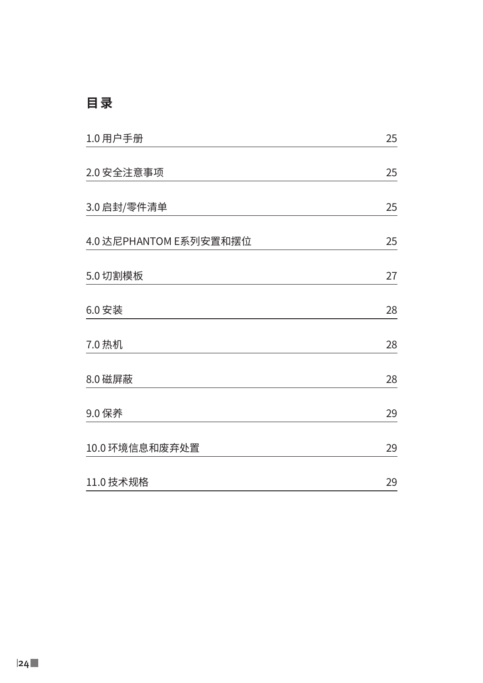# **目 录**

| 1.0 用户手册               | 25 |
|------------------------|----|
| 2.0 安全注意事项             | 25 |
| 3.0 启封/零件清单            | 25 |
| 4.0 达尼PHANTOM E系列安置和摆位 | 25 |
| 5.0 切割模板               | 27 |
| 6.0 安装                 | 28 |
| 7.0 热机                 | 28 |
| 8.0 磁屏蔽                | 28 |
| 9.0 保养                 | 29 |
| 10.0 环境信息和废弃处置         | 29 |
| 11.0 技术规格              | 29 |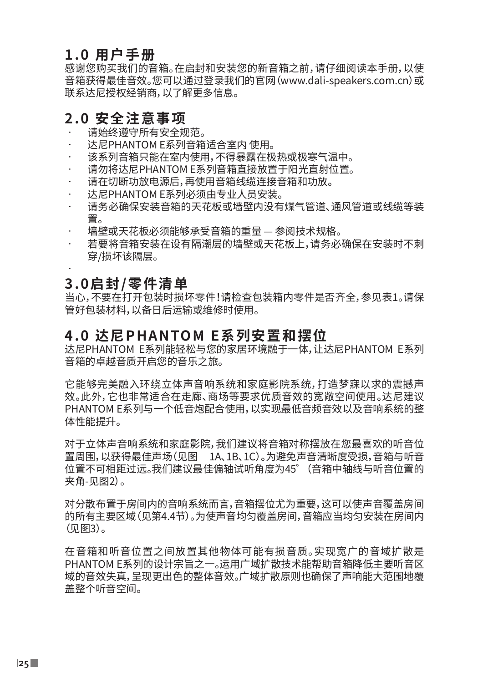### **1.0 用户手册**

感谢您购买我们的音箱。在启封和安装您的新音箱之前,请仔细阅读本手册,以使 音箱获得最佳音效。您可以通过登录我们的官网(www.dali-speakers.com.cn)或 联系达尼授权经销商,以了解更多信息。

### **2.0 安全注意事项**

- 请始终遵守所有安全规范。
- 达尼PHANTOM E系列音箱适合室内 使用。
- 该系列音箱只能在室内使用,不得暴露在极热或极寒气温中。
- • 请勿将达尼PHANTOM E系列音箱直接放置于阳光直射位置。
- 请在切断功放电源后,再使用音箱线缆连接音箱和功放。
- • 达尼PHANTOM E系列必须由专业人员安装。
- 请务必确保安装音箱的天花板或墙壁内没有煤气管道、通风管道或线缆等装 置。
- 墙壁或天花板必须能够承受音箱的重量 参阅技术规格。
- 若要将音箱安装在设有隔潮层的墙壁或天花板上,请务必确保在安装时不刺 穿/损坏该隔层。

#### • **3.0启封/零件清单**

当心,不要在打开包装时损坏零件!请检查包装箱内零件是否齐全,参见表1。请保 管好包装材料,以备日后运输或维修时使用。

### **4.0 达尼PHANTOM E系列安置和摆位**

达尼PHANTOM E系列能轻松与您的家居环境融于一体,让达尼PHANTOM E系列 音箱的卓越音质开启您的音乐之旅。

它能够完美融入环绕立体声音响系统和家庭影院系统,打造梦寐以求的震撼声 效。此外,它也非常适合在走廊、商场等要求优质音效的宽敞空间使用。达尼建议 PHANTOM E系列与一个低音炮配合使用,以实现最低音频音效以及音响系统的整 体性能提升。

对于立体声音响系统和家庭影院,我们建议将音箱对称摆放在您最喜欢的听音位 置周围,以获得最佳声场(见图 1A、1B、1C)。为避免声音清晰度受损,音箱与听音 位置不可相距过远。我们建议最佳偏轴试听角度为45゜(音箱中轴线与听音位置的 夹角-见图2)。

对分散布置于房间内的音响系统而言,音箱摆位尤为重要,这可以使声音覆盖房间 的所有主要区域(见第4.4节)。为使声音均匀覆盖房间,音箱应当均匀安装在房间内 (见图3)。

在音箱和听音位置之间放置其他物体可能有损音质。实现宽广的音域扩散是 PHANTOM E系列的设计宗旨之一。运用广域扩散技术能帮助音箱降低主要听音区 域的音效失真,呈现更出色的整体音效。广域扩散原则也确保了声响能大范围地覆 盖整个听音空间。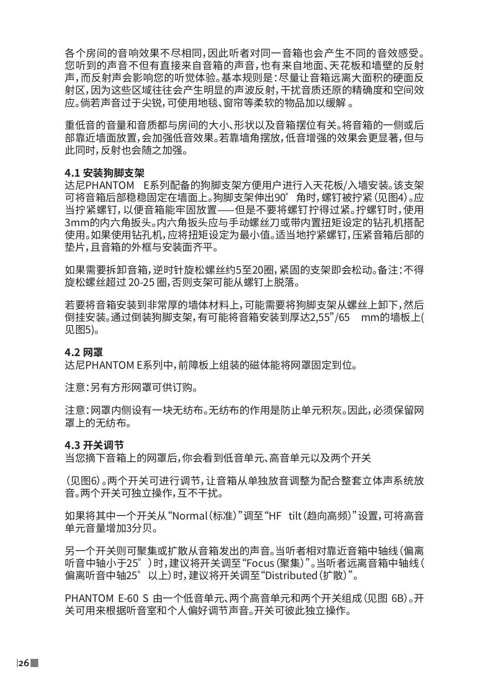各个房间的音响效果不尽相同,因此听者对同一音箱也会产生不同的音效感受。 您听到的声音不但有直接来自音箱的声音,也有来自地面、天花板和墙壁的反射 声,而反射声会影响您的听觉体验。基本规则是:尽量让音箱远离大面积的硬面反 射区,因为这些区域往往会产生明显的声波反射,干扰音质还原的精确度和空间效 应。倘若声音过于尖锐,可使用地毯、窗帘等柔软的物品加以缓解 。

重低音的音量和音质都与房间的大小、形状以及音箱摆位有关。将音箱的一侧或后 部靠近墙面放置,会加强低音效果。若靠墙角摆放,低音增强的效果会更显著,但与 此同时,反射也会随之加强。

#### **4.1 安装狗脚支架**

达尼PHANTOM E系列配备的狗脚支架方便用户进行入天花板/入墙安装。该支架 可将音箱后部稳稳固定在墙面上。狗脚支架伸出90゜角时,螺钉被拧紧(见图4)。应 当拧紧螺钉,以便音箱能牢固放置——但是不要将螺钉拧得过紧。拧螺钉时,使用 3mm的内六角扳头。内六角扳头应与手动螺丝刀或带内置扭矩设定的钻孔机搭配 使用。如果使用钻孔机,应将扭矩设定为最小值。适当地拧紧螺钉,压紧音箱后部的 垫片,且音箱的外框与安装面齐平。

如果需要拆卸音箱,逆时针旋松螺丝约5至20圈,紧固的支架即会松动。备注:不得 旋松螺丝超过 20-25 圈,否则支架可能从螺钉上脱落。

若要将音箱安装到非常厚的墙体材料上,可能需要将狗脚支架从螺丝上卸下,然后 倒挂安装。通过倒装狗脚支架,有可能将音箱安装到厚达2,55"/65 mm的墙板上( 见图5)。

#### **4.2 网罩**

达尼PHANTOM E系列中,前障板上组装的磁体能将网罩固定到位。

注意:另有方形网罩可供订购。

注意:网罩内侧设有一块无纺布。无纺布的作用是防止单元积灰。因此,必须保留网 罩上的无纺布。

#### **4.3 开关调节**

当您摘下音箱上的网罩后,你会看到低音单元、高音单元以及两个开关

(见图6)。两个开关可进行调节,让音箱从单独放音调整为配合整套立体声系统放 音。两个开关可独立操作,互不干扰。

如果将其中一个开关从"Normal(标准)"调至"HF tilt(趋向高频)"设置,可将高音 单元音量增加3分贝。

另一个开关则可聚集或扩散从音箱发出的声音。当听者相对靠近音箱中轴线(偏离 听音中轴小于25゜)时,建议将开关调至"Focus(聚集)"。当听者远离音箱中轴线( 偏离听音中轴25゜以上)时,建议将开关调至"Distributed(扩散)"。

PHANTOM E-60 S 由一个低音单元、两个高音单元和两个开关组成(见图 6B)。开 关可用来根据听音室和个人偏好调节声音。开关可彼此独立操作。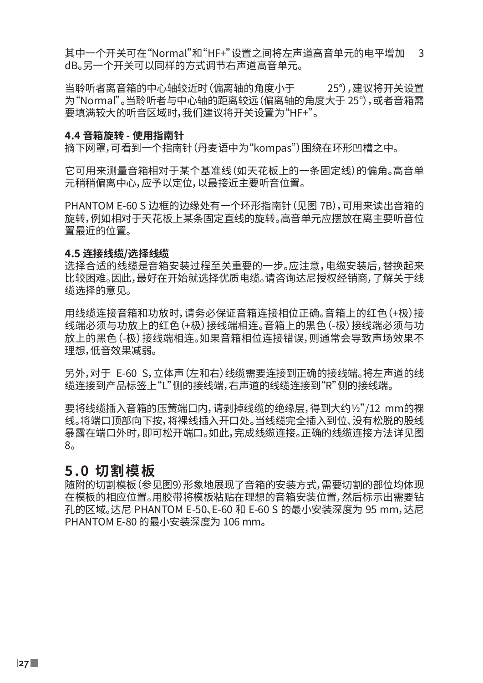其中一个开关可在"Normal"和"HF+"设置之间将左声道高音单元的电平增加 3 dB。另一个开关可以同样的方式调节右声道高音单元。

当聆听者离音箱的中心轴较近时(偏离轴的角度小于 25°),建议将开关设置 为"Normal"。当聆听者与中心轴的距离较远(偏离轴的角度大于 25°),或者音箱需 要填满较大的听音区域时,我们建议将开关设置为"HF+"。

#### **4.4 音箱旋转 - 使用指南针**

摘下网罩,可看到一个指南针(丹麦语中为"kompas")围绕在环形凹槽之中。

它可用来测量音箱相对于某个基准线(如天花板上的一条固定线)的偏角。高音单 元稍稍偏离中心,应予以定位,以最接近主要听音位置。

PHANTOM E-60 S 边框的边缘处有一个环形指南针(见图 7B),可用来读出音箱的 旋转,例如相对于天花板上某条固定直线的旋转。高音单元应摆放在离主要听音位 置最近的位置。

#### **4.5 连接线缆/选择线缆**

选择合适的线缆是音箱安装过程至关重要的一步。应注意,电缆安装后,替换起来 比较困难。因此,最好在开始就选择优质电缆。请咨询达尼授权经销商,了解关于线 缆选择的意见。

用线缆连接音箱和功放时,请务必保证音箱连接相位正确。音箱上的红色(+极)接 线端必须与功放上的红色(+极)接线端相连。音箱上的黑色(-极)接线端必须与功 放上的黑色(-极)接线端相连。如果音箱相位连接错误,则通常会导致声场效果不 理想,低音效果减弱。

另外,对于 F-60 S,立体声(左和右)线缆需要连接到正确的接线端。将左声道的线 缆连接到产品标签上"L"侧的接线端,右声道的线缆连接到"R"侧的接线端。

要将线缆插入音箱的压簧端口内,请剥掉线缆的绝缘层,得到大约½"/12 mm的裸 线。将端口顶部向下按,将裸线插入开口处。当线缆完全插入到位、没有松脱的股线 暴露在端口外时,即可松开端口。如此,完成线缆连接。正确的线缆连接方法详见图 8。

### **5.0 切割模板**

随附的切割模板(参见图9)形象地展现了音箱的安装方式,需要切割的部位均体现 在模板的相应位置。用胶带将模板粘贴在理想的音箱安装位置,然后标示出需要钻 孔的区域。达尼 PHANTOM E-50、E-60 和 E-60 S 的最小安装深度为 95 mm, 达尼 PHANTOM E-80 的最小安装深度为 106 mm。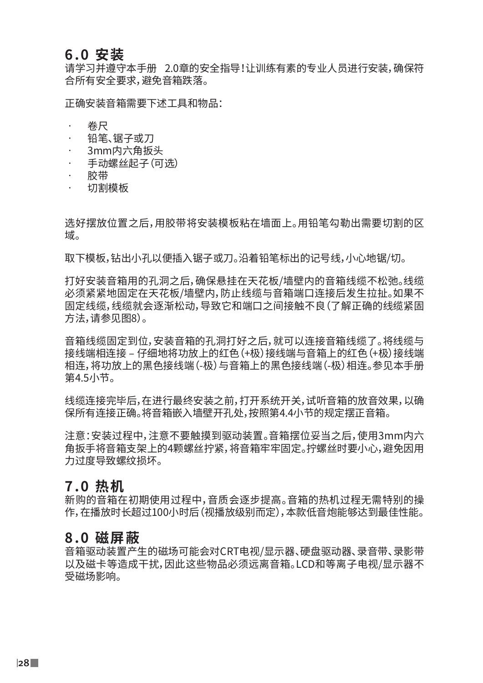### **6.0 安装**

请学习并遵守本手册 2.0章的安全指导!让训练有素的专业人员进行安装,确保符 合所有安全要求,避免音箱跌落。

正确安装音箱需要下述工具和物品:

- • 卷尺
- 铅笔、锯子或刀
- 3mm内六角扳头
- 手动螺丝起子(可选)
- • 胶带
- 切割模板

选好摆放位置之后,用胶带将安装模板粘在墙面上。用铅笔勾勒出需要切割的区 域。

取下模板,钻出小孔以便插入锯子或刀。沿着铅笔标出的记号线,小心地锯/切。

打好安装音箱用的孔洞之后,确保悬挂在天花板/墙壁内的音箱线缆不松弛。线缆 必须紧紧地固定在天花板/墙壁内,防止线缆与音箱端口连接后发生拉扯。如果不 固定线缆,线缆就会逐渐松动,导致它和端口之间接触不良(了解正确的线缆紧固 方法,请参见图8)。

音箱线缆固定到位,安装音箱的孔洞打好之后,就可以连接音箱线缆了。将线缆与 接线端相连接 – 仔细地将功放上的红色(+极)接线端与音箱上的红色(+极)接线端 相连,将功放上的黑色接线端(-极)与音箱上的黑色接线端(-极)相连。参见本手册 第4.5小节。

线缆连接完毕后,在进行最终安装之前,打开系统开关,试听音箱的放音效果,以确 保所有连接正确。将音箱嵌入墙壁开孔处,按照第4.4小节的规定摆正音箱。

注意:安装过程中,注意不要触摸到驱动装置。音箱摆位妥当之后,使用3mm内六 角扳手将音箱支架上的4颗螺丝拧紧,将音箱牢牢固定。拧螺丝时要小心,避免因用 力过度导致螺纹损坏。

### **7.0 热机**

新购的音箱在初期使用过程中,音质会逐步提高。音箱的热机过程无需特别的操 作,在播放时长超过100小时后(视播放级别而定),本款低音炮能够达到最佳性能。

### **8.0 磁屏蔽**

音箱驱动装置产生的磁场可能会对CRT电视/显示器、硬盘驱动器、录音带、录影带 以及磁卡等造成干扰,因此这些物品必须远离音箱。LCD和等离子电视/显示器不 受磁场影响。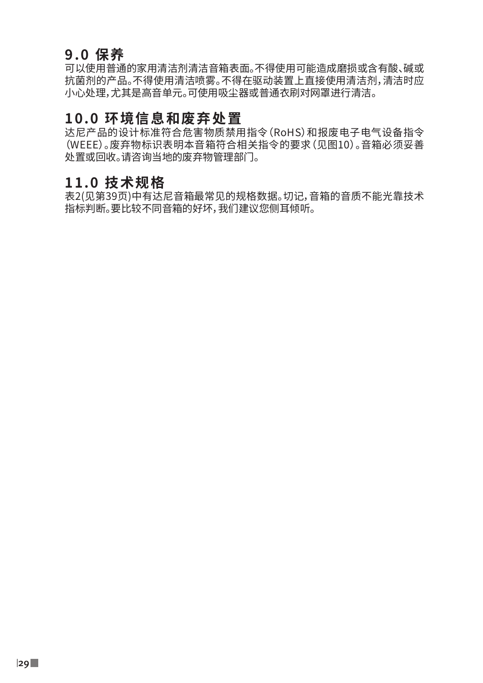## **9.0 保养**

可以使用普通的家用清洁剂清洁音箱表面。不得使用可能造成磨损或含有酸、碱或 抗菌剂的产品。不得使用清洁喷雾。不得在驱动装置上直接使用清洁剂,清洁时应 小心处理,尤其是高音单元。可使用吸尘器或普通衣刷对网罩进行清洁。

### **10.0 环境信息和废弃处置**

达尼产品的设计标准符合危害物质禁用指令(RoHS)和报废电子电气设备指令 (WEEE)。废弃物标识表明本音箱符合相关指令的要求(见图10)。音箱必须妥善 处置或回收。请咨询当地的废弃物管理部门。

### **11.0 技术规格**

表2(见第39页)中有达尼音箱最常见的规格数据。切记,音箱的音质不能光靠技术 指标判断。要比较不同音箱的好坏,我们建议您侧耳倾听。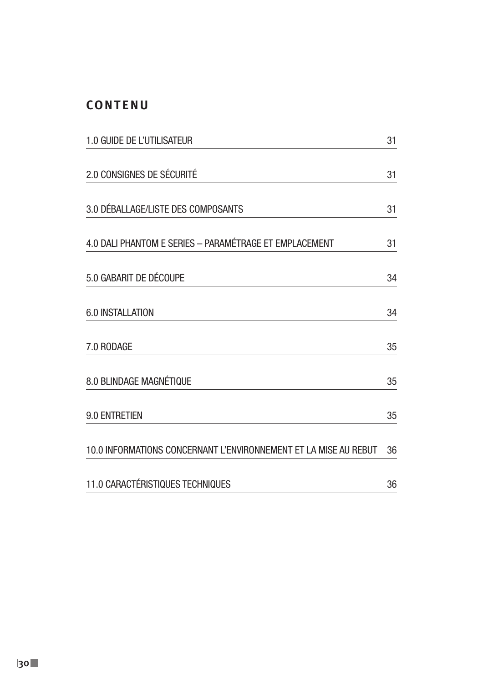### **CONTENU**

| 1.0 GUIDE DE L'UTILISATEUR                                       |    |
|------------------------------------------------------------------|----|
| 2.0 CONSIGNES DE SÉCURITÉ                                        | 31 |
| 3.0 DÉBALLAGE/LISTE DES COMPOSANTS                               | 31 |
| 4.0 DALI PHANTOM E SERIES - PARAMÉTRAGE ET EMPLACEMENT           | 31 |
| 5.0 GABARIT DE DÉCOUPE                                           | 34 |
| 6.0 INSTALLATION                                                 | 34 |
| 7.0 RODAGE                                                       | 35 |
| 8.0 BLINDAGE MAGNÉTIQUE                                          | 35 |
| 9.0 ENTRETIEN                                                    | 35 |
| 10.0 INFORMATIONS CONCERNANT L'ENVIRONNEMENT ET LA MISE AU REBUT | 36 |
| 11.0 CARACTÉRISTIQUES TECHNIQUES                                 | 36 |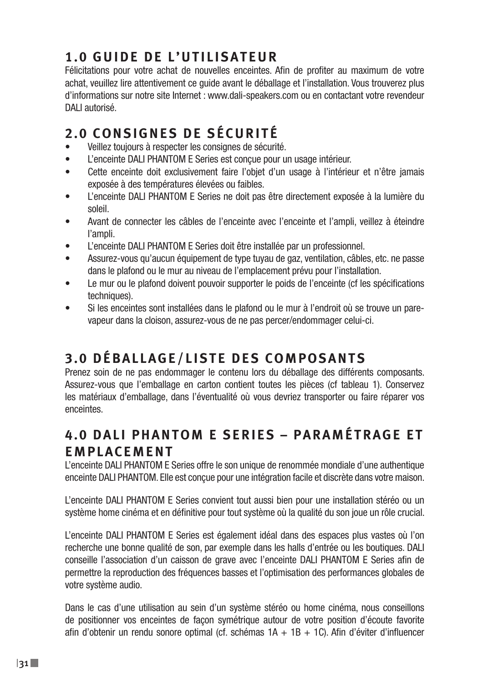# **1.0 GUIDE DE L'UTILISATEUR**

Félicitations pour votre achat de nouvelles enceintes. Afin de profiter au maximum de votre achat, veuillez lire attentivement ce guide avant le déballage et l'installation. Vous trouverez plus d'informations sur notre site Internet : www.dali-speakers.com ou en contactant votre revendeur DALI autorisé.

# **2.0 CONSIGNES DE SÉCURITÉ**

- Veillez toujours à respecter les consignes de sécurité.
- L'enceinte DALI PHANTOM E Series est conçue pour un usage intérieur.
- Cette enceinte doit exclusivement faire l'objet d'un usage à l'intérieur et n'être jamais exposée à des températures élevées ou faibles.
- L'enceinte DALI PHANTOM E Series ne doit pas être directement exposée à la lumière du soleil.
- Avant de connecter les câbles de l'enceinte avec l'enceinte et l'ampli, veillez à éteindre l'ampli.
- L'enceinte DALI PHANTOM E Series doit être installée par un professionnel.
- Assurez-vous qu'aucun équipement de type tuyau de gaz, ventilation, câbles, etc. ne passe dans le plafond ou le mur au niveau de l'emplacement prévu pour l'installation.
- Le mur ou le plafond doivent pouvoir supporter le poids de l'enceinte (cf les spécifications techniques).
- Si les enceintes sont installées dans le plafond ou le mur à l'endroit où se trouve un parevapeur dans la cloison, assurez-vous de ne pas percer/endommager celui-ci.

# **3.0 DÉBALLAGE/LISTE DES COMPOSANTS**

Prenez soin de ne pas endommager le contenu lors du déballage des différents composants. Assurez-vous que l'emballage en carton contient toutes les pièces (cf tableau 1). Conservez les matériaux d'emballage, dans l'éventualité où vous devriez transporter ou faire réparer vos enceintes.

## **4 . 0 D A L I P H A N T O M E S E R I E S – P A R A M É T R A G E E T EMPLACEMENT**

L'enceinte DALI PHANTOM E Series offre le son unique de renommée mondiale d'une authentique enceinte DALI PHANTOM. Elle est conçue pour une intégration facile et discrète dans votre maison.

L'enceinte DALI PHANTOM E Series convient tout aussi bien pour une installation stéréo ou un système home cinéma et en définitive pour tout système où la qualité du son joue un rôle crucial.

L'enceinte DALI PHANTOM E Series est également idéal dans des espaces plus vastes où l'on recherche une bonne qualité de son, par exemple dans les halls d'entrée ou les boutiques. DALI conseille l'association d'un caisson de grave avec l'enceinte DALI PHANTOM E Series afin de permettre la reproduction des fréquences basses et l'optimisation des performances globales de votre système audio.

Dans le cas d'une utilisation au sein d'un système stéréo ou home cinéma, nous conseillons de positionner vos enceintes de façon symétrique autour de votre position d'écoute favorite afin d'obtenir un rendu sonore optimal (cf. schémas 1A + 1B + 1C). Afin d'éviter d'influencer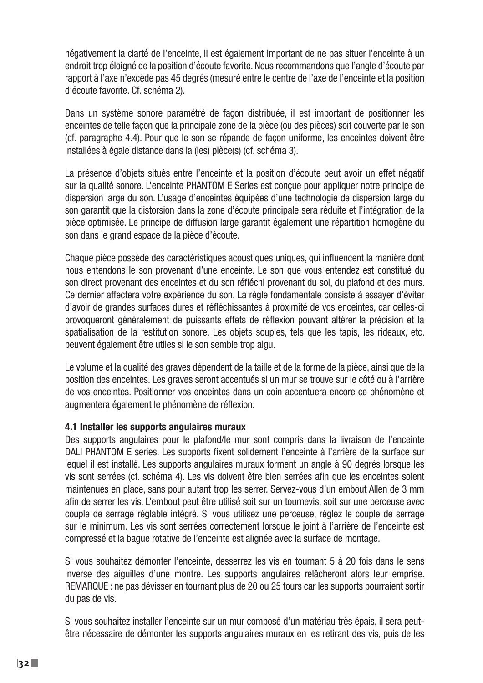négativement la clarté de l'enceinte, il est également important de ne pas situer l'enceinte à un endroit trop éloigné de la position d'écoute favorite. Nous recommandons que l'angle d'écoute par rapport à l'axe n'excède pas 45 degrés (mesuré entre le centre de l'axe de l'enceinte et la position d'écoute favorite. Cf. schéma 2).

Dans un système sonore paramétré de façon distribuée, il est important de positionner les enceintes de telle façon que la principale zone de la pièce (ou des pièces) soit couverte par le son (cf. paragraphe 4.4). Pour que le son se répande de façon uniforme, les enceintes doivent être installées à égale distance dans la (les) pièce(s) (cf. schéma 3).

La présence d'objets situés entre l'enceinte et la position d'écoute peut avoir un effet négatif sur la qualité sonore. L'enceinte PHANTOM E Series est conçue pour appliquer notre principe de dispersion large du son. L'usage d'enceintes équipées d'une technologie de dispersion large du son garantit que la distorsion dans la zone d'écoute principale sera réduite et l'intégration de la pièce optimisée. Le principe de diffusion large garantit également une répartition homogène du son dans le grand espace de la pièce d'écoute.

Chaque pièce possède des caractéristiques acoustiques uniques, qui influencent la manière dont nous entendons le son provenant d'une enceinte. Le son que vous entendez est constitué du son direct provenant des enceintes et du son réfléchi provenant du sol, du plafond et des murs. Ce dernier affectera votre expérience du son. La règle fondamentale consiste à essayer d'éviter d'avoir de grandes surfaces dures et réfléchissantes à proximité de vos enceintes, car celles-ci provoqueront généralement de puissants effets de réflexion pouvant altérer la précision et la spatialisation de la restitution sonore. Les objets souples, tels que les tapis, les rideaux, etc. peuvent également être utiles si le son semble trop aigu.

Le volume et la qualité des graves dépendent de la taille et de la forme de la pièce, ainsi que de la position des enceintes. Les graves seront accentués si un mur se trouve sur le côté ou à l'arrière de vos enceintes. Positionner vos enceintes dans un coin accentuera encore ce phénomène et augmentera également le phénomène de réflexion.

#### **4.1 Installer les supports angulaires muraux**

Des supports angulaires pour le plafond/le mur sont compris dans la livraison de l'enceinte DALI PHANTOM E series. Les supports fixent solidement l'enceinte à l'arrière de la surface sur lequel il est installé. Les supports angulaires muraux forment un angle à 90 degrés lorsque les vis sont serrées (cf. schéma 4). Les vis doivent être bien serrées afin que les enceintes soient maintenues en place, sans pour autant trop les serrer. Servez-vous d'un embout Allen de 3 mm afin de serrer les vis. L'embout peut être utilisé soit sur un tournevis, soit sur une perceuse avec couple de serrage réglable intégré. Si vous utilisez une perceuse, réglez le couple de serrage sur le minimum. Les vis sont serrées correctement lorsque le joint à l'arrière de l'enceinte est compressé et la bague rotative de l'enceinte est alignée avec la surface de montage.

Si vous souhaitez démonter l'enceinte, desserrez les vis en tournant 5 à 20 fois dans le sens inverse des aiguilles d'une montre. Les supports angulaires relâcheront alors leur emprise. REMARQUE : ne pas dévisser en tournant plus de 20 ou 25 tours car les supports pourraient sortir du pas de vis.

Si vous souhaitez installer l'enceinte sur un mur composé d'un matériau très épais, il sera peutêtre nécessaire de démonter les supports angulaires muraux en les retirant des vis, puis de les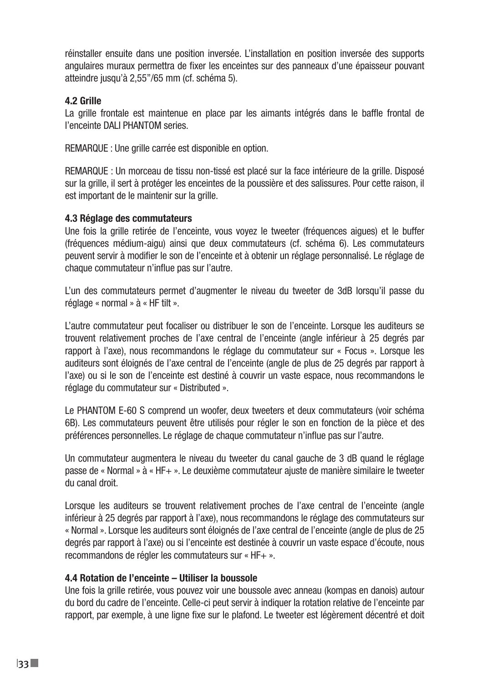réinstaller ensuite dans une position inversée. L'installation en position inversée des supports angulaires muraux permettra de fixer les enceintes sur des panneaux d'une épaisseur pouvant atteindre jusqu'à 2,55"/65 mm (cf. schéma 5).

### **4.2 Grille**

La grille frontale est maintenue en place par les aimants intégrés dans le baffle frontal de l'enceinte DALI PHANTOM series.

REMARQUE : Une grille carrée est disponible en option.

REMARQUE : Un morceau de tissu non-tissé est placé sur la face intérieure de la grille. Disposé sur la grille, il sert à protéger les enceintes de la poussière et des salissures. Pour cette raison, il est important de le maintenir sur la grille.

### **4.3 Réglage des commutateurs**

Une fois la grille retirée de l'enceinte, vous voyez le tweeter (fréquences aigues) et le buffer (fréquences médium-aigu) ainsi que deux commutateurs (cf. schéma 6). Les commutateurs peuvent servir à modifier le son de l'enceinte et à obtenir un réglage personnalisé. Le réglage de chaque commutateur n'influe pas sur l'autre.

L'un des commutateurs permet d'augmenter le niveau du tweeter de 3dB lorsqu'il passe du réglage « normal » à « HF tilt ».

L'autre commutateur peut focaliser ou distribuer le son de l'enceinte. Lorsque les auditeurs se trouvent relativement proches de l'axe central de l'enceinte (angle inférieur à 25 degrés par rapport à l'axe), nous recommandons le réglage du commutateur sur « Focus ». Lorsque les auditeurs sont éloignés de l'axe central de l'enceinte (angle de plus de 25 degrés par rapport à l'axe) ou si le son de l'enceinte est destiné à couvrir un vaste espace, nous recommandons le réglage du commutateur sur « Distributed ».

Le PHANTOM E-60 S comprend un woofer, deux tweeters et deux commutateurs (voir schéma 6B). Les commutateurs peuvent être utilisés pour régler le son en fonction de la pièce et des préférences personnelles. Le réglage de chaque commutateur n'influe pas sur l'autre.

Un commutateur augmentera le niveau du tweeter du canal gauche de 3 dB quand le réglage passe de « Normal » à « HF+ ». Le deuxième commutateur ajuste de manière similaire le tweeter du canal droit.

Lorsque les auditeurs se trouvent relativement proches de l'axe central de l'enceinte (angle inférieur à 25 degrés par rapport à l'axe), nous recommandons le réglage des commutateurs sur « Normal ». Lorsque les auditeurs sont éloignés de l'axe central de l'enceinte (angle de plus de 25 degrés par rapport à l'axe) ou si l'enceinte est destinée à couvrir un vaste espace d'écoute, nous recommandons de régler les commutateurs sur « HF+ ».

### **4.4 Rotation de l'enceinte – Utiliser la boussole**

Une fois la grille retirée, vous pouvez voir une boussole avec anneau (kompas en danois) autour du bord du cadre de l'enceinte. Celle-ci peut servir à indiquer la rotation relative de l'enceinte par rapport, par exemple, à une ligne fixe sur le plafond. Le tweeter est légèrement décentré et doit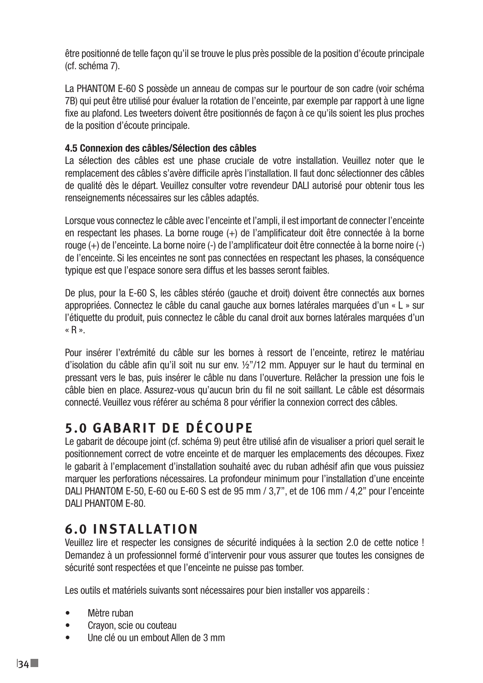être positionné de telle façon qu'il se trouve le plus près possible de la position d'écoute principale (cf. schéma 7).

La PHANTOM E-60 S possède un anneau de compas sur le pourtour de son cadre (voir schéma 7B) qui peut être utilisé pour évaluer la rotation de l'enceinte, par exemple par rapport à une ligne fixe au plafond. Les tweeters doivent être positionnés de façon à ce qu'ils soient les plus proches de la position d'écoute principale.

### **4.5 Connexion des câbles/Sélection des câbles**

La sélection des câbles est une phase cruciale de votre installation. Veuillez noter que le remplacement des câbles s'avère difficile après l'installation. Il faut donc sélectionner des câbles de qualité dès le départ. Veuillez consulter votre revendeur DALI autorisé pour obtenir tous les renseignements nécessaires sur les câbles adaptés.

Lorsque vous connectez le câble avec l'enceinte et l'ampli, il est important de connecter l'enceinte en respectant les phases. La borne rouge (+) de l'amplificateur doit être connectée à la borne rouge (+) de l'enceinte. La borne noire (-) de l'amplificateur doit être connectée à la borne noire (-) de l'enceinte. Si les enceintes ne sont pas connectées en respectant les phases, la conséquence typique est que l'espace sonore sera diffus et les basses seront faibles.

De plus, pour la E-60 S, les câbles stéréo (gauche et droit) doivent être connectés aux bornes appropriées. Connectez le câble du canal gauche aux bornes latérales marquées d'un « L » sur l'étiquette du produit, puis connectez le câble du canal droit aux bornes latérales marquées d'un « R ».

Pour insérer l'extrémité du câble sur les bornes à ressort de l'enceinte, retirez le matériau d'isolation du câble afin qu'il soit nu sur env. ½"/12 mm. Appuyer sur le haut du terminal en pressant vers le bas, puis insérer le câble nu dans l'ouverture. Relâcher la pression une fois le câble bien en place. Assurez-vous qu'aucun brin du fil ne soit saillant. Le câble est désormais connecté. Veuillez vous référer au schéma 8 pour vérifier la connexion correct des câbles.

# **5.0 GABARIT DE DÉCOUPE**

Le gabarit de découpe joint (cf. schéma 9) peut être utilisé afin de visualiser a priori quel serait le positionnement correct de votre enceinte et de marquer les emplacements des découpes. Fixez le gabarit à l'emplacement d'installation souhaité avec du ruban adhésif afin que vous puissiez marquer les perforations nécessaires. La profondeur minimum pour l'installation d'une enceinte DALI PHANTOM E-50, E-60 ou E-60 S est de 95 mm / 3,7", et de 106 mm / 4,2" pour l'enceinte DALI PHANTOM E-80.

## **6.0 INSTALLATION**

Veuillez lire et respecter les consignes de sécurité indiquées à la section 2.0 de cette notice ! Demandez à un professionnel formé d'intervenir pour vous assurer que toutes les consignes de sécurité sont respectées et que l'enceinte ne puisse pas tomber.

Les outils et matériels suivants sont nécessaires pour bien installer vos appareils :

- Mètre ruban
- Crayon, scie ou couteau
- Une clé ou un embout Allen de 3 mm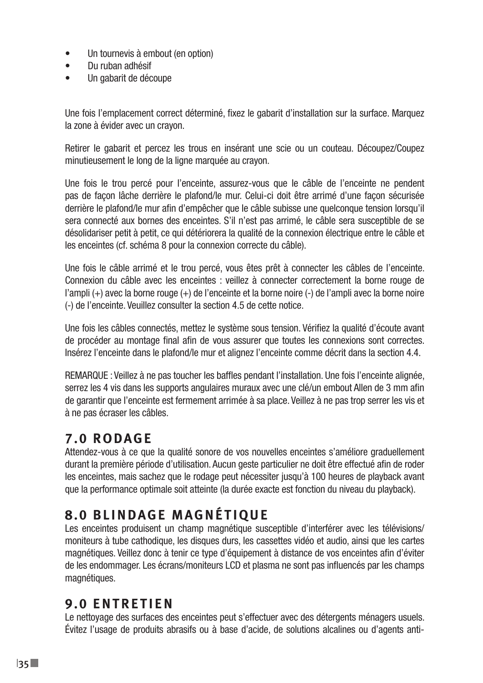- Un tournevis à embout (en option)
- Du ruban adhésif
- Un gabarit de découpe

Une fois l'emplacement correct déterminé, fixez le gabarit d'installation sur la surface. Marquez la zone à évider avec un crayon.

Retirer le gabarit et percez les trous en insérant une scie ou un couteau. Découpez/Coupez minutieusement le long de la ligne marquée au crayon.

Une fois le trou percé pour l'enceinte, assurez-vous que le câble de l'enceinte ne pendent pas de façon lâche derrière le plafond/le mur. Celui-ci doit être arrimé d'une façon sécurisée derrière le plafond/le mur afin d'empêcher que le câble subisse une quelconque tension lorsqu'il sera connecté aux bornes des enceintes. S'il n'est pas arrimé, le câble sera susceptible de se désolidariser petit à petit, ce qui détériorera la qualité de la connexion électrique entre le câble et les enceintes (cf. schéma 8 pour la connexion correcte du câble).

Une fois le câble arrimé et le trou percé, vous êtes prêt à connecter les câbles de l'enceinte. Connexion du câble avec les enceintes : veillez à connecter correctement la borne rouge de l'ampli (+) avec la borne rouge (+) de l'enceinte et la borne noire (-) de l'ampli avec la borne noire (-) de l'enceinte. Veuillez consulter la section 4.5 de cette notice.

Une fois les câbles connectés, mettez le système sous tension. Vérifiez la qualité d'écoute avant de procéder au montage final afin de vous assurer que toutes les connexions sont correctes. Insérez l'enceinte dans le plafond/le mur et alignez l'enceinte comme décrit dans la section 4.4.

REMARQUE : Veillez à ne pas toucher les baffles pendant l'installation. Une fois l'enceinte alignée, serrez les 4 vis dans les supports angulaires muraux avec une clé/un embout Allen de 3 mm afin de garantir que l'enceinte est fermement arrimée à sa place. Veillez à ne pas trop serrer les vis et à ne pas écraser les câbles.

## **7.0 RODAGE**

Attendez-vous à ce que la qualité sonore de vos nouvelles enceintes s'améliore graduellement durant la première période d'utilisation. Aucun geste particulier ne doit être effectué afin de roder les enceintes, mais sachez que le rodage peut nécessiter jusqu'à 100 heures de playback avant que la performance optimale soit atteinte (la durée exacte est fonction du niveau du playback).

# **8.0 BLINDAGE MAGNÉTIQUE**

Les enceintes produisent un champ magnétique susceptible d'interférer avec les télévisions/ moniteurs à tube cathodique, les disques durs, les cassettes vidéo et audio, ainsi que les cartes magnétiques. Veillez donc à tenir ce type d'équipement à distance de vos enceintes afin d'éviter de les endommager. Les écrans/moniteurs LCD et plasma ne sont pas influencés par les champs magnétiques.

## **9.0 ENTRETIEN**

Le nettoyage des surfaces des enceintes peut s'effectuer avec des détergents ménagers usuels. Évitez l'usage de produits abrasifs ou à base d'acide, de solutions alcalines ou d'agents anti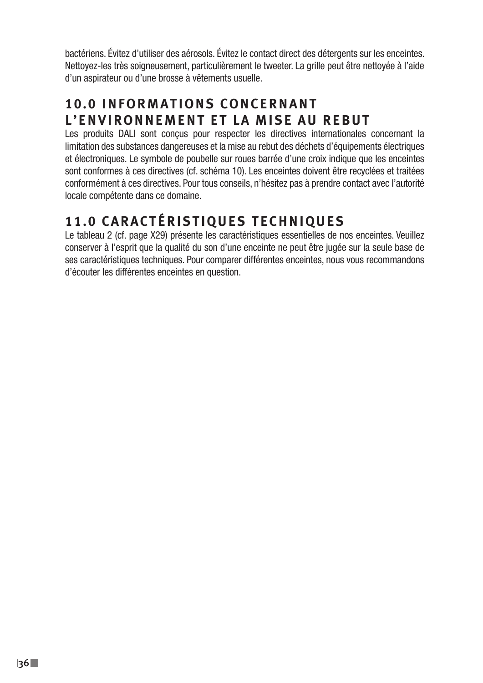bactériens. Évitez d'utiliser des aérosols. Évitez le contact direct des détergents sur les enceintes. Nettoyez-les très soigneusement, particulièrement le tweeter. La grille peut être nettoyée à l'aide d'un aspirateur ou d'une brosse à vêtements usuelle.

# **1 0 . 0 I N F O R M A T I O N S C O N C E R N A N T L'ENVIRONNEMENT ET LA MISE AU REBUT**

Les produits DALI sont conçus pour respecter les directives internationales concernant la limitation des substances dangereuses et la mise au rebut des déchets d'équipements électriques et électroniques. Le symbole de poubelle sur roues barrée d'une croix indique que les enceintes sont conformes à ces directives (cf. schéma 10). Les enceintes doivent être recyclées et traitées conformément à ces directives. Pour tous conseils, n'hésitez pas à prendre contact avec l'autorité locale compétente dans ce domaine.

# **11.0 CARACTÉRISTIQUES TECHNIQUES**

Le tableau 2 (cf. page X29) présente les caractéristiques essentielles de nos enceintes. Veuillez conserver à l'esprit que la qualité du son d'une enceinte ne peut être jugée sur la seule base de ses caractéristiques techniques. Pour comparer différentes enceintes, nous vous recommandons d'écouter les différentes enceintes en question.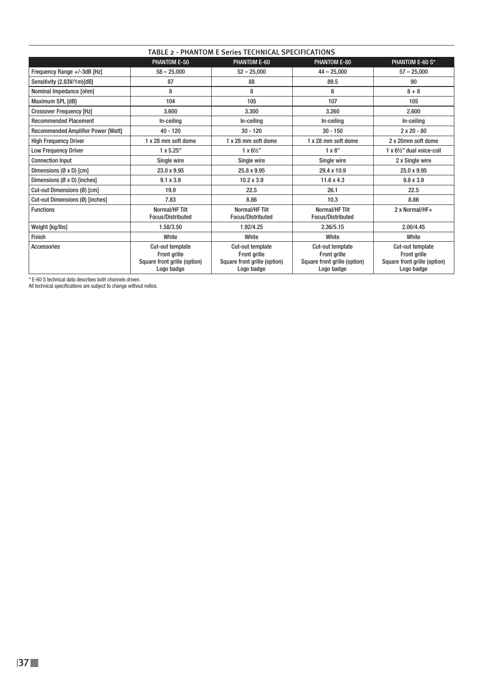| TABLE 2 - PHANTOM E Series TECHNICAL SPECIFICATIONS |                                                                                |                                                                                |                                                                                       |                                                                                |  |
|-----------------------------------------------------|--------------------------------------------------------------------------------|--------------------------------------------------------------------------------|---------------------------------------------------------------------------------------|--------------------------------------------------------------------------------|--|
|                                                     | PHANTOM E-50                                                                   | PHANTOM E-60                                                                   | <b>PHANTOM E-80</b>                                                                   | PHANTOM E-60 S*                                                                |  |
| Frequency Range +/-3dB [Hz]                         | $58 - 25.000$                                                                  | $52 - 25.000$                                                                  | $44 - 25.000$                                                                         | $57 - 25,000$                                                                  |  |
| Sensitivity (2.83V/1m)[dB]                          | 87                                                                             | 88                                                                             | 89.5                                                                                  | 90                                                                             |  |
| Nominal Impedance [ohm]                             | 8                                                                              | 8                                                                              | 6                                                                                     | $8 + 8$                                                                        |  |
| Maximum SPL [dB]                                    | 104                                                                            | 105                                                                            | 107                                                                                   | 105                                                                            |  |
| <b>Crossover Frequency [Hz]</b>                     | 3.600                                                                          | 3.300                                                                          | 3.260                                                                                 | 2.600                                                                          |  |
| <b>Recommended Placement</b>                        | In-ceiling                                                                     | In-ceiling                                                                     | In-ceiling                                                                            | In-ceiling                                                                     |  |
| <b>Recommended Amplifier Power [Watt]</b>           | $40 - 120$                                                                     | $30 - 120$                                                                     | $30 - 150$                                                                            | $2 \times 20 - 80$                                                             |  |
| <b>High Frequency Driver</b>                        | 1 x 28 mm soft dome                                                            | 1 x 28 mm soft dome                                                            | 1 x 28 mm soft dome                                                                   | 2 x 20mm soft dome                                                             |  |
| <b>Low Frequency Driver</b>                         | 1 x 5.25"                                                                      | $1 \times 6\frac{1}{2}$                                                        | $1 \times 8$ "                                                                        | 1 x 61/2" dual voice-coil                                                      |  |
| <b>Connection Input</b>                             | Single wire                                                                    | Single wire                                                                    | Single wire                                                                           | 2 x Single wire                                                                |  |
| Dimensions $(\emptyset \times D)$ [cm]              | 23.0 x 9.95                                                                    | 25.8 x 9.95                                                                    | 29.4 x 10.9                                                                           | 25.0 x 9.95                                                                    |  |
| Dimensions (Ø x D) [inches]                         | $9.1 \times 3.9$                                                               | $10.2 \times 3.9$                                                              | 11.6 x 4.3                                                                            | $9.8 \times 3.9$                                                               |  |
| Cut-out Dimensions (Ø) [cm]                         | 19.9                                                                           | 22.5                                                                           | 26.1                                                                                  | 22.5                                                                           |  |
| Cut-out Dimensions (Ø) [inches]                     | 7.83                                                                           | 8.86                                                                           | 10.3                                                                                  | 8.86                                                                           |  |
| <b>Functions</b>                                    | Normal/HF Tilt<br><b>Focus/Distributed</b>                                     | Normal/HF Tilt<br><b>Focus/Distributed</b>                                     | Normal/HF Tilt<br><b>Focus/Distributed</b>                                            | 2 x Normal/HF+                                                                 |  |
| Weight [kg/lbs]                                     | 1.58/3.50                                                                      | 1.92/4.25                                                                      | 2.36/5.15                                                                             | 2.00/4.45                                                                      |  |
| Finish                                              | White                                                                          | White                                                                          | White                                                                                 | White                                                                          |  |
| <b>Accessories</b>                                  | Cut-out template<br>Front grille<br>Square front grille (option)<br>Logo badge | Cut-out template<br>Front grille<br>Square front grille (option)<br>Logo badge | Cut-out template<br><b>Front grille</b><br>Square front grille (option)<br>Logo badge | Cut-out template<br>Front grille<br>Square front grille (option)<br>Logo badge |  |

\* E-60 S technical data describes both channels driven. All technical specifications are subject to change without notice.